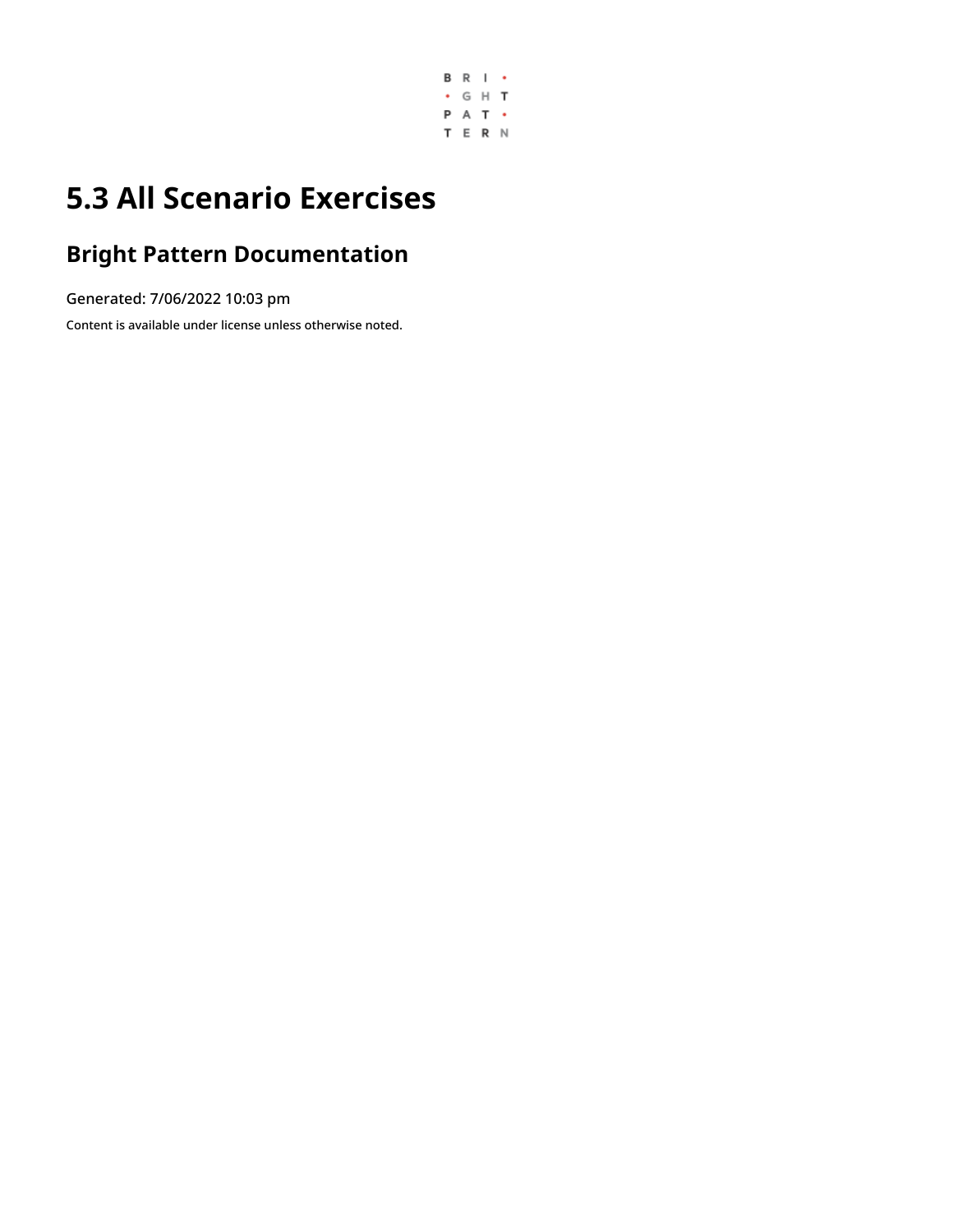

# **5.3 All Scenario Exercises**

# **Bright Pattern Documentation**

Generated: 7/06/2022 10:03 pm

Content is available under license unless otherwise noted.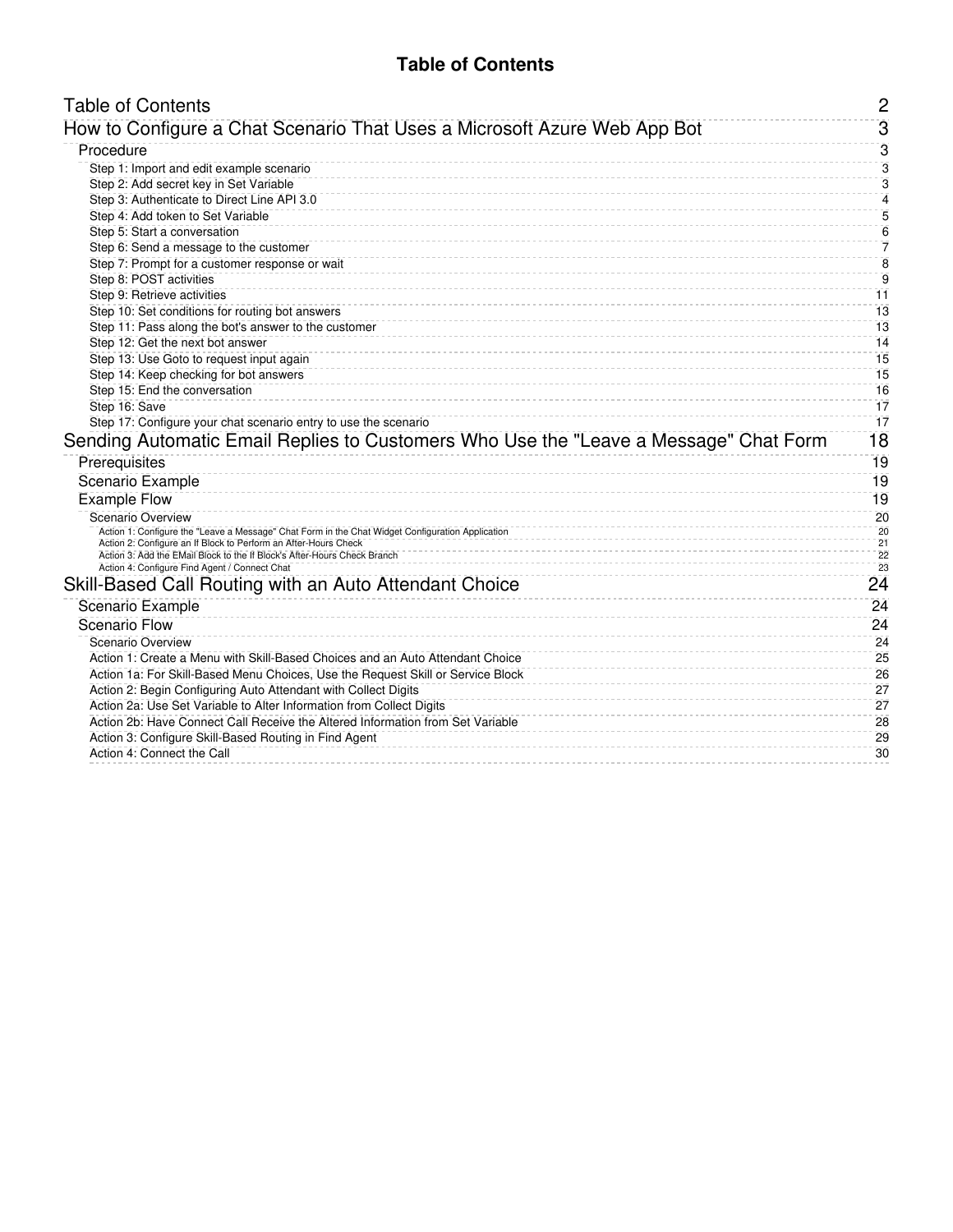## **Table of Contents**

<span id="page-1-0"></span>

| <b>Table of Contents</b>                                                                                                                    | $\overline{2}$      |
|---------------------------------------------------------------------------------------------------------------------------------------------|---------------------|
| How to Configure a Chat Scenario That Uses a Microsoft Azure Web App Bot                                                                    | 3                   |
| Procedure                                                                                                                                   | 3                   |
| Step 1: Import and edit example scenario                                                                                                    | 3                   |
| Step 2: Add secret key in Set Variable                                                                                                      | 3                   |
| Step 3: Authenticate to Direct Line API 3.0                                                                                                 | $\overline{\bf{4}}$ |
| Step 4: Add token to Set Variable                                                                                                           | 5                   |
| Step 5: Start a conversation                                                                                                                | $6\phantom{1}6$     |
| Step 6: Send a message to the customer                                                                                                      | 7                   |
| Step 7: Prompt for a customer response or wait                                                                                              | $\overline{8}$      |
| Step 8: POST activities                                                                                                                     | $\overline{9}$      |
| Step 9: Retrieve activities                                                                                                                 | 11                  |
| Step 10: Set conditions for routing bot answers                                                                                             | 13                  |
| Step 11: Pass along the bot's answer to the customer                                                                                        | 13                  |
| Step 12: Get the next bot answer                                                                                                            | 14                  |
| Step 13: Use Goto to request input again                                                                                                    | 15                  |
| Step 14: Keep checking for bot answers                                                                                                      | 15                  |
| Step 15: End the conversation                                                                                                               | 16                  |
| Step 16: Save                                                                                                                               | 17                  |
| Step 17: Configure your chat scenario entry to use the scenario                                                                             | 17                  |
| Sending Automatic Email Replies to Customers Who Use the "Leave a Message" Chat Form                                                        | 18                  |
| Prerequisites                                                                                                                               | 19                  |
| Scenario Example                                                                                                                            | 19                  |
| <b>Example Flow</b>                                                                                                                         | 19                  |
| Scenario Overview                                                                                                                           | 20                  |
| Action 1: Configure the "Leave a Message" Chat Form in the Chat Widget Configuration Application                                            | 20                  |
| Action 2: Configure an If Block to Perform an After-Hours Check<br>Action 3: Add the EMail Block to the If Block's After-Hours Check Branch | 21<br>22            |
| Action 4: Configure Find Agent / Connect Chat                                                                                               | 23                  |
| Skill-Based Call Routing with an Auto Attendant Choice                                                                                      | 24                  |
| Scenario Example                                                                                                                            | 24                  |
| Scenario Flow                                                                                                                               | 24                  |
| Scenario Overview                                                                                                                           | 24                  |
| Action 1: Create a Menu with Skill-Based Choices and an Auto Attendant Choice                                                               | 25                  |
| Action 1a: For Skill-Based Menu Choices, Use the Request Skill or Service Block                                                             | 26                  |
| Action 2: Begin Configuring Auto Attendant with Collect Digits                                                                              | 27                  |
| Action 2a: Use Set Variable to Alter Information from Collect Digits                                                                        | 27                  |
| Action 2b: Have Connect Call Receive the Altered Information from Set Variable                                                              | 28                  |
| Action 3: Configure Skill-Based Routing in Find Agent                                                                                       | 29                  |
| Action 4: Connect the Call                                                                                                                  | 30                  |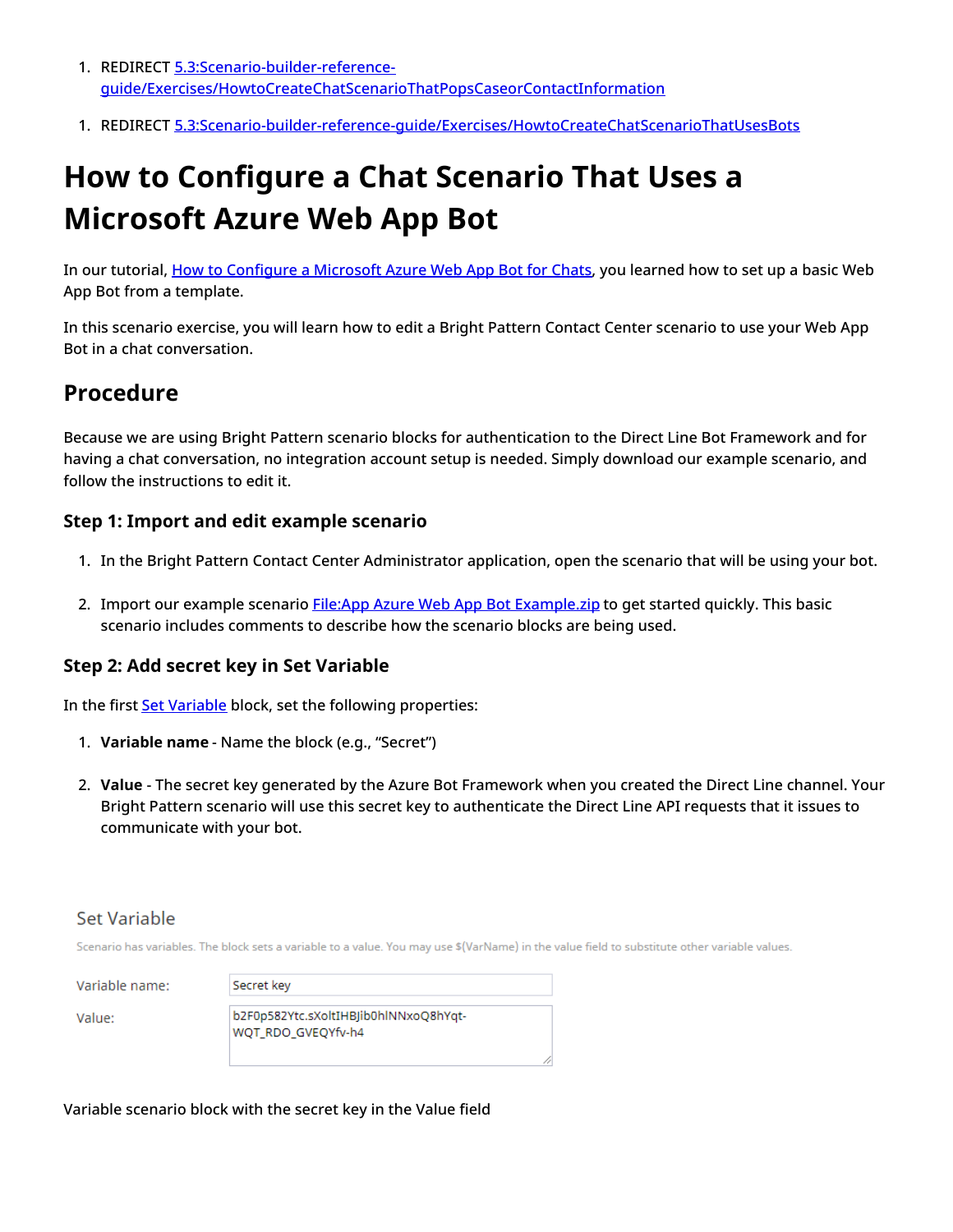- 1. REDIRECT 5.3:Scenario-builder-reference[guide/Exercises/HowtoCreateChatScenarioThatPopsCaseorContactInformation](https://help.brightpattern.com/5.3:Scenario-builder-reference-guide/Exercises/HowtoCreateChatScenarioThatPopsCaseorContactInformation)
- 1. REDIRECT [5.3:Scenario-builder-reference-guide/Exercises/HowtoCreateChatScenarioThatUsesBots](https://help.brightpattern.com/5.3:Scenario-builder-reference-guide/Exercises/HowtoCreateChatScenarioThatUsesBots)

# <span id="page-2-0"></span>**How to Configure a Chat Scenario That Uses a Microsoft Azure Web App Bot**

In our tutorial, How to [Configure](https://help.brightpattern.com/5.3:Scenario-builder-reference-guide/Exercises/AllScenarioExercises/?action=html-localimages-export#topic_tutorials-for-admins.2Fai.2Fhowtoconfiguremicrosoftazurewebappbot) a Microsoft Azure Web App Bot for Chats, you learned how to set up a basic Web App Bot from a template.

In this scenario exercise, you will learn how to edit a Bright Pattern Contact Center scenario to use your Web App Bot in a chat conversation.

## <span id="page-2-1"></span>**Procedure**

Because we are using Bright Pattern scenario blocks for authentication to the Direct Line Bot Framework and for having a chat conversation, no integration account setup is needed. Simply download our example scenario, and follow the instructions to edit it.

#### <span id="page-2-2"></span>**Step 1: Import and edit example scenario**

- 1. In the Bright Pattern Contact Center Administrator application, open the scenario that will be using your bot.
- 2. Import our example scenario File:App Azure Web App Bot [Example.zip](https://help.brightpattern.com/File:App_Azure_Web_App_Bot_Example.zip) to get started quickly. This basic scenario includes comments to describe how the scenario blocks are being used.

#### <span id="page-2-3"></span>**Step 2: Add secret key in Set Variable**

In the first **Set [Variable](https://help.brightpattern.com/5.3:Scenario-builder-reference-guide/Exercises/AllScenarioExercises/?action=html-localimages-export#topic_scenario-builder-reference-guide.2Fscenarioblocks.2Fsetvariable)** block, set the following properties:

- 1. **Variable name** Name the block (e.g., "Secret")
- 2. **Value** The secret key generated by the Azure Bot Framework when you created the Direct Line channel. Your Bright Pattern scenario will use this secret key to authenticate the Direct Line API requests that it issues to communicate with your bot.

#### Set Variable

Scenario has variables. The block sets a variable to a value. You may use \$(VarName) in the value field to substitute other variable values.

Variable

Value:

| name: | Secret key                                                  |
|-------|-------------------------------------------------------------|
|       | b2F0p582Ytc.sXoltIHBJib0hlNNxoQ8hYqt-<br>WQT RDO GVEQYfv-h4 |

Variable scenario block with the secret key in the Value field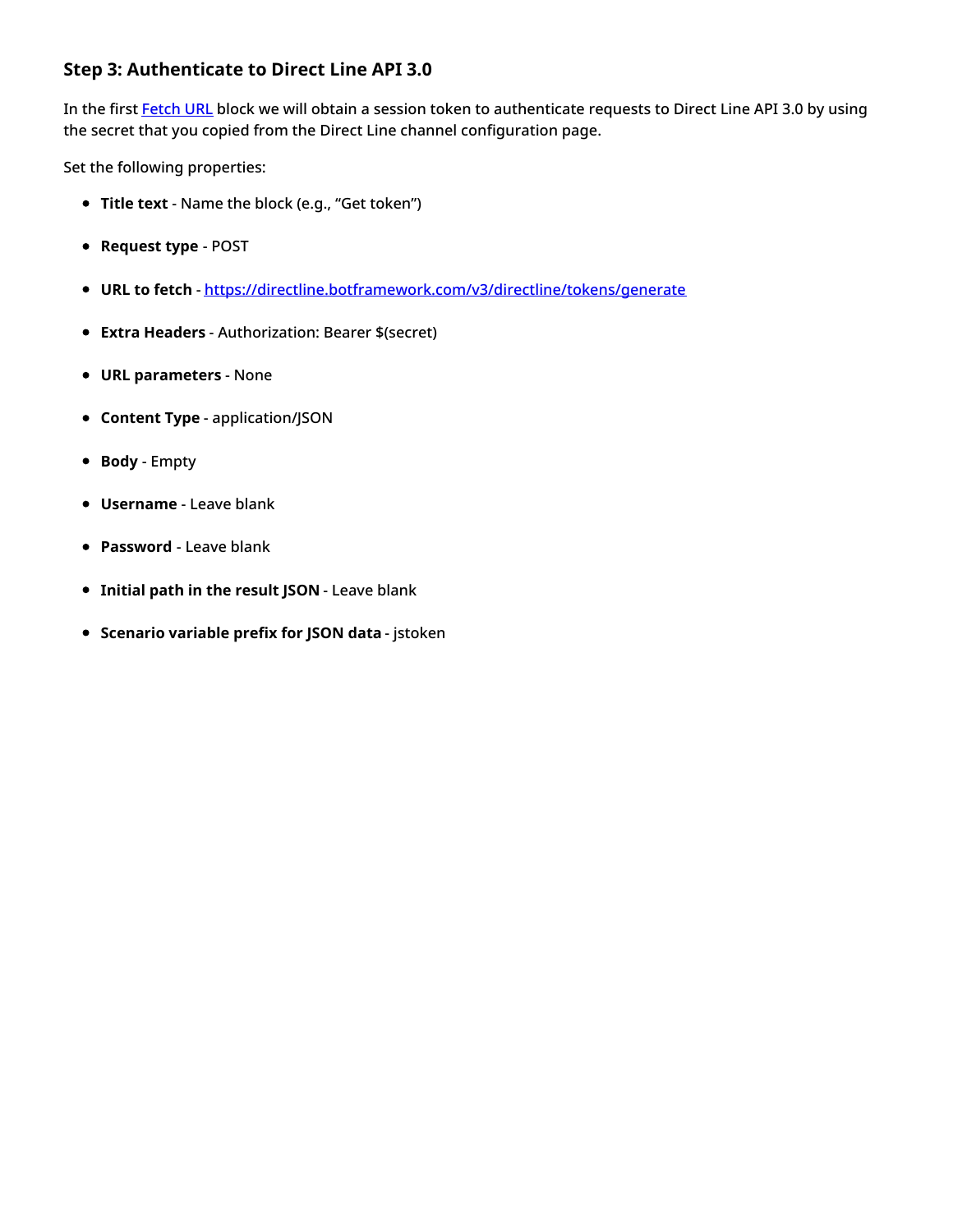## <span id="page-3-0"></span>**Step 3: Authenticate to Direct Line API 3.0**

In the first [Fetch](https://help.brightpattern.com/5.3:Scenario-builder-reference-guide/Exercises/AllScenarioExercises/?action=html-localimages-export#topic_scenario-builder-reference-guide.2Fscenarioblocks.2Ffetchurl) URL block we will obtain a session token to authenticate requests to Direct Line API 3.0 by using the secret that you copied from the Direct Line channel configuration page.

- **Title text** Name the block (e.g., "Get token")
- **Request type** POST
- **URL to fetch** <https://directline.botframework.com/v3/directline/tokens/generate>
- **Extra Headers** Authorization: Bearer \$(secret)
- **URL parameters** None
- **Content Type** application/JSON
- **Body** Empty
- **Username** Leave blank
- **Password** Leave blank
- **Initial path in the result JSON** Leave blank
- **Scenario variable prefix for JSON data** jstoken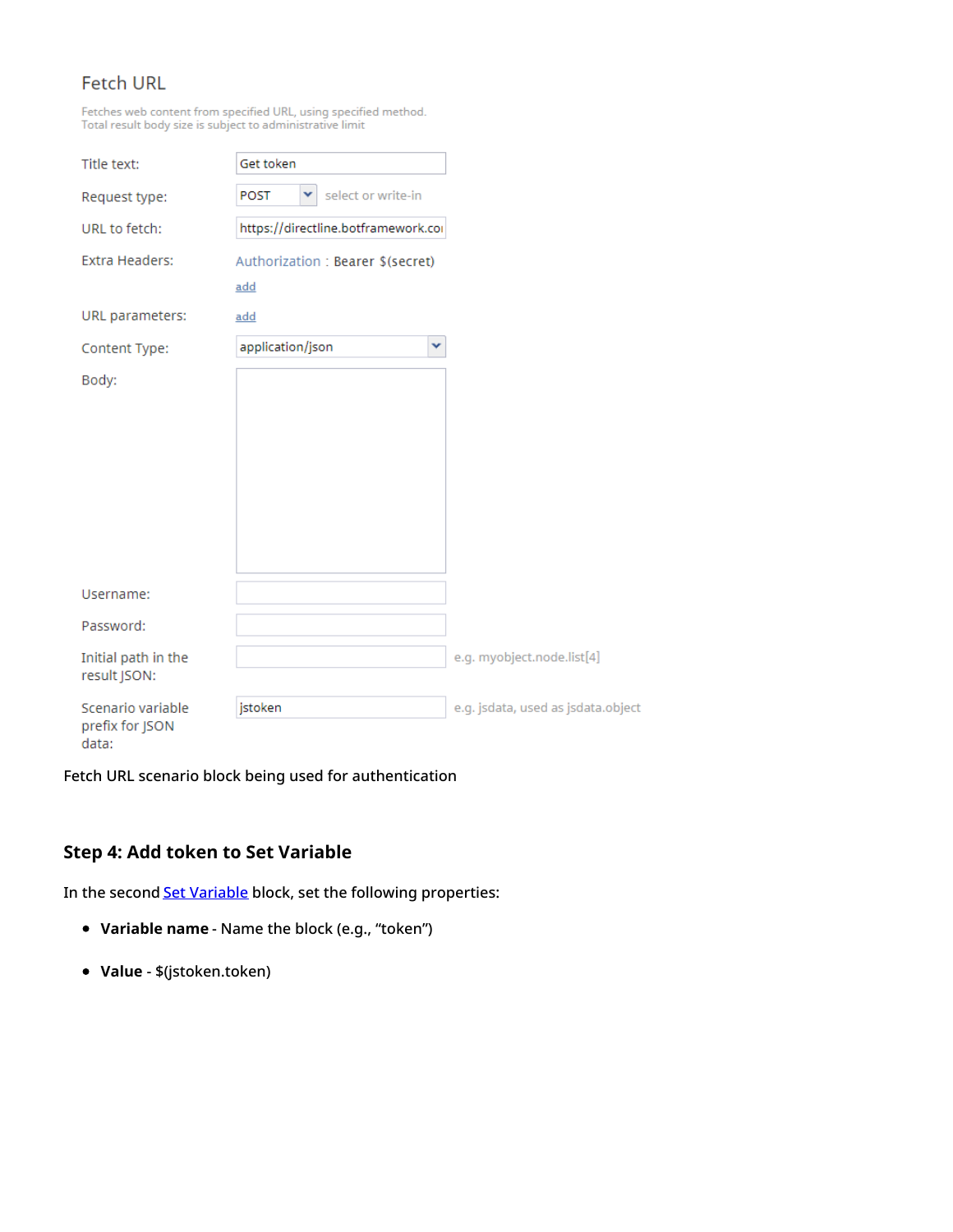## **Fetch URL**

Fetches web content from specified URL, using specified method. Total result body size is subject to administrative limit

| Title text:                         | Get token                           |                                    |
|-------------------------------------|-------------------------------------|------------------------------------|
| Request type:                       | select or write-in<br>v<br>POST     |                                    |
| URL to fetch:                       | https://directline.botframework.cor |                                    |
| <b>Extra Headers:</b>               | Authorization: Bearer \$(secret)    |                                    |
|                                     | add                                 |                                    |
| URL parameters:                     | add                                 |                                    |
| Content Type:                       | application/json                    | v                                  |
| Body:                               |                                     |                                    |
|                                     |                                     |                                    |
|                                     |                                     |                                    |
|                                     |                                     |                                    |
|                                     |                                     |                                    |
|                                     |                                     |                                    |
|                                     |                                     |                                    |
| Username:                           |                                     |                                    |
| Password:                           |                                     |                                    |
| Initial path in the<br>result JSON: |                                     | e.g. myobject.node.list[4]         |
| Scenario variable                   | jstoken                             | e.g. jsdata, used as jsdata.object |
| prefix for JSON<br>data:            |                                     |                                    |

Fetch URL scenario block being used for authentication

### <span id="page-4-0"></span>**Step 4: Add token to Set Variable**

In the second **Set [Variable](https://help.brightpattern.com/5.3:Scenario-builder-reference-guide/Exercises/AllScenarioExercises/?action=html-localimages-export#topic_scenario-builder-reference-guide.2Fscenarioblocks.2Fsetvariable)** block, set the following properties:

- **Variable name** Name the block (e.g., "token")
- **Value** \$(jstoken.token)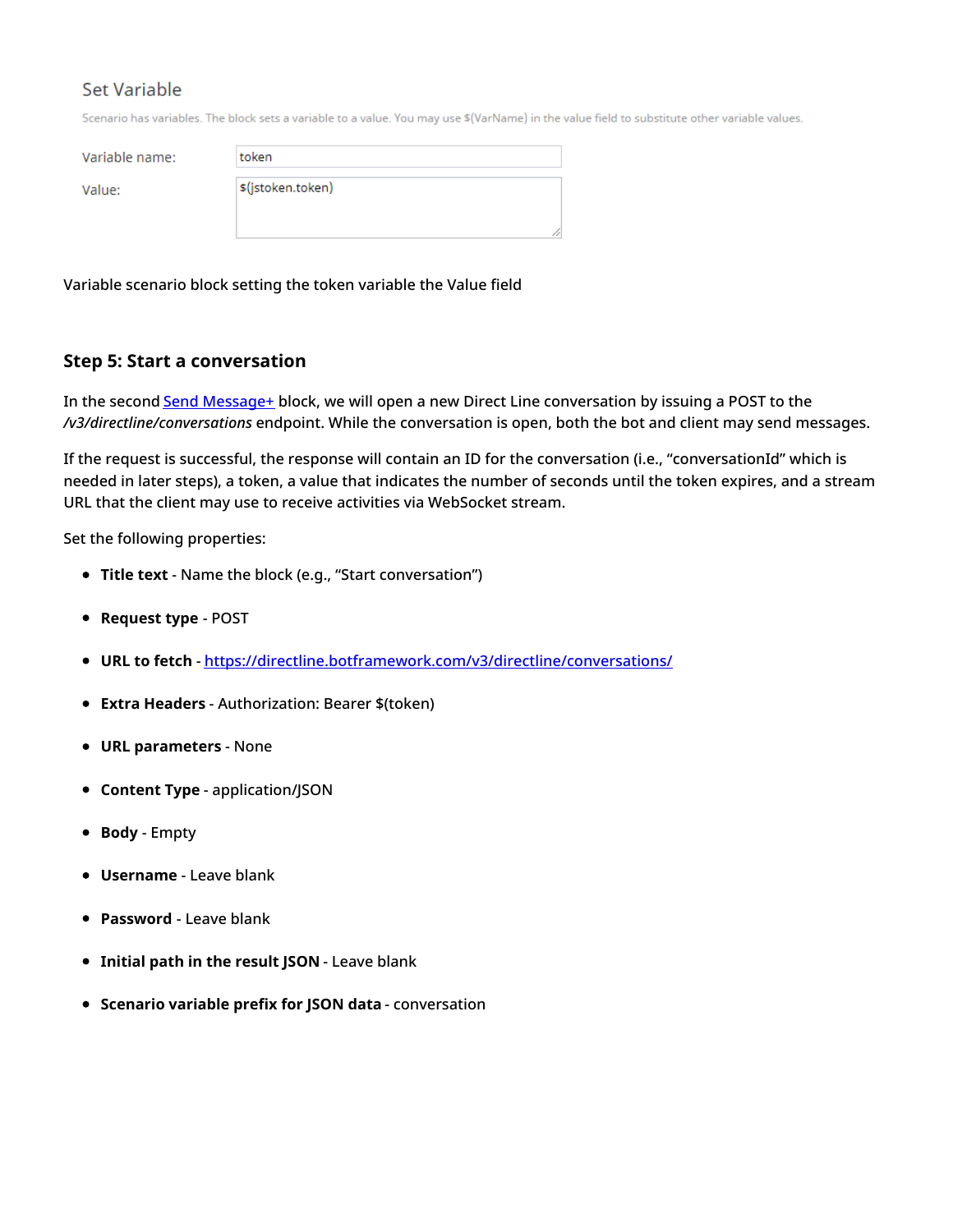## Set Variable

Scenario has variables. The block sets a variable to a value. You may use \$(VarName) in the value field to substitute other variable values.

Variable name:

Value:

| token             |  |  |
|-------------------|--|--|
| \$(jstoken.token) |  |  |
|                   |  |  |
|                   |  |  |

Variable scenario block setting the token variable the Value field

#### <span id="page-5-0"></span>**Step 5: Start a conversation**

In the second Send [Message+](https://help.brightpattern.com/5.3:Scenario-builder-reference-guide/Exercises/AllScenarioExercises/?action=html-localimages-export#topic_scenario-builder-reference-guide.2Fscenarioblocks.2Fsendmessage) block, we will open a new Direct Line conversation by issuing a POST to the */v3/directline/conversations* endpoint. While the conversation is open, both the bot and client may send messages.

If the request is successful, the response will contain an ID for the conversation (i.e., "conversationId" which is needed in later steps), a token, a value that indicates the number of seconds until the token expires, and a stream URL that the client may use to receive activities via WebSocket stream.

- **Title text** Name the block (e.g., "Start conversation")
- **Request type** POST
- **URL to fetch** <https://directline.botframework.com/v3/directline/conversations/>
- **Extra Headers** Authorization: Bearer \$(token)
- **URL parameters** None
- **Content Type** application/JSON
- **Body** Empty
- **Username** Leave blank
- **Password** Leave blank
- **Initial path in the result JSON** Leave blank
- **Scenario variable prefix for JSON data** conversation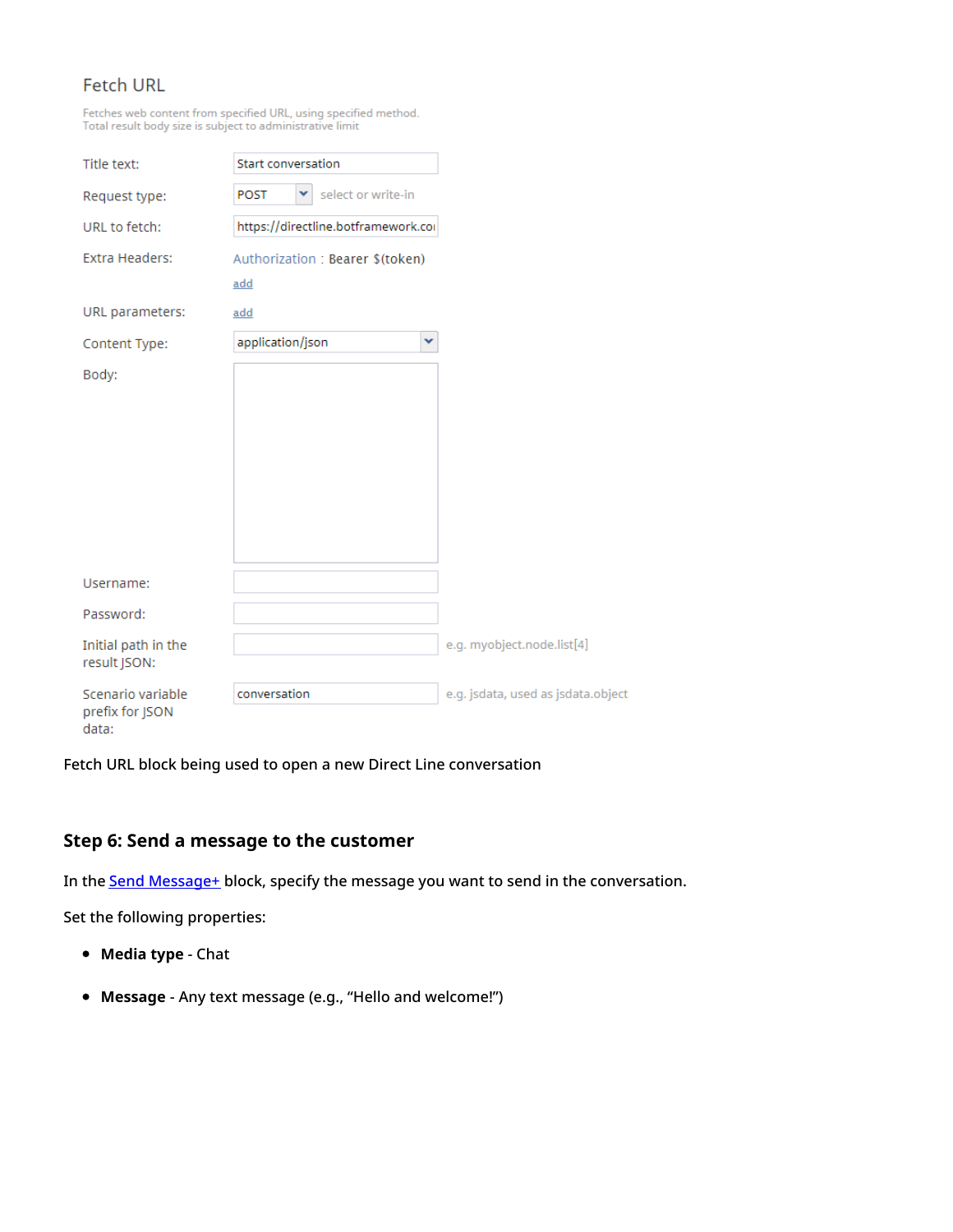## **Fetch URL**

Fetches web content from specified URL, using specified method.<br>Total result body size is subject to administrative limit

| Title text:              | Start conversation                     |   |
|--------------------------|----------------------------------------|---|
| Request type:            | select or write-in<br><b>POST</b><br>v |   |
| URL to fetch:            | https://directline.botframework.coi    |   |
| Extra Headers:           | Authorization: Bearer \$(token)        |   |
|                          | add                                    |   |
| URL parameters:          | add                                    |   |
| Content Type:            | application/json                       | v |
| Body:                    |                                        |   |
|                          |                                        |   |
|                          |                                        |   |
|                          |                                        |   |
|                          |                                        |   |
|                          |                                        |   |
|                          |                                        |   |
| Username:                |                                        |   |
| Password:                |                                        |   |
| Initial path in the      |                                        |   |
| result JSON:             |                                        |   |
| Scenario variable        | conversation                           |   |
| prefix for JSON<br>data: |                                        |   |

Fetch URL block being used to open a new Direct Line conversation

## <span id="page-6-0"></span>**Step 6: Send a message to the customer**

In the **Send [Message+](https://help.brightpattern.com/5.3:Scenario-builder-reference-guide/Exercises/AllScenarioExercises/?action=html-localimages-export#topic_scenario-builder-reference-guide.2Fscenarioblocks.2Fsendmessage)** block, specify the message you want to send in the conversation.

- **Media type** Chat
- **Message** Any text message (e.g., "Hello and welcome!")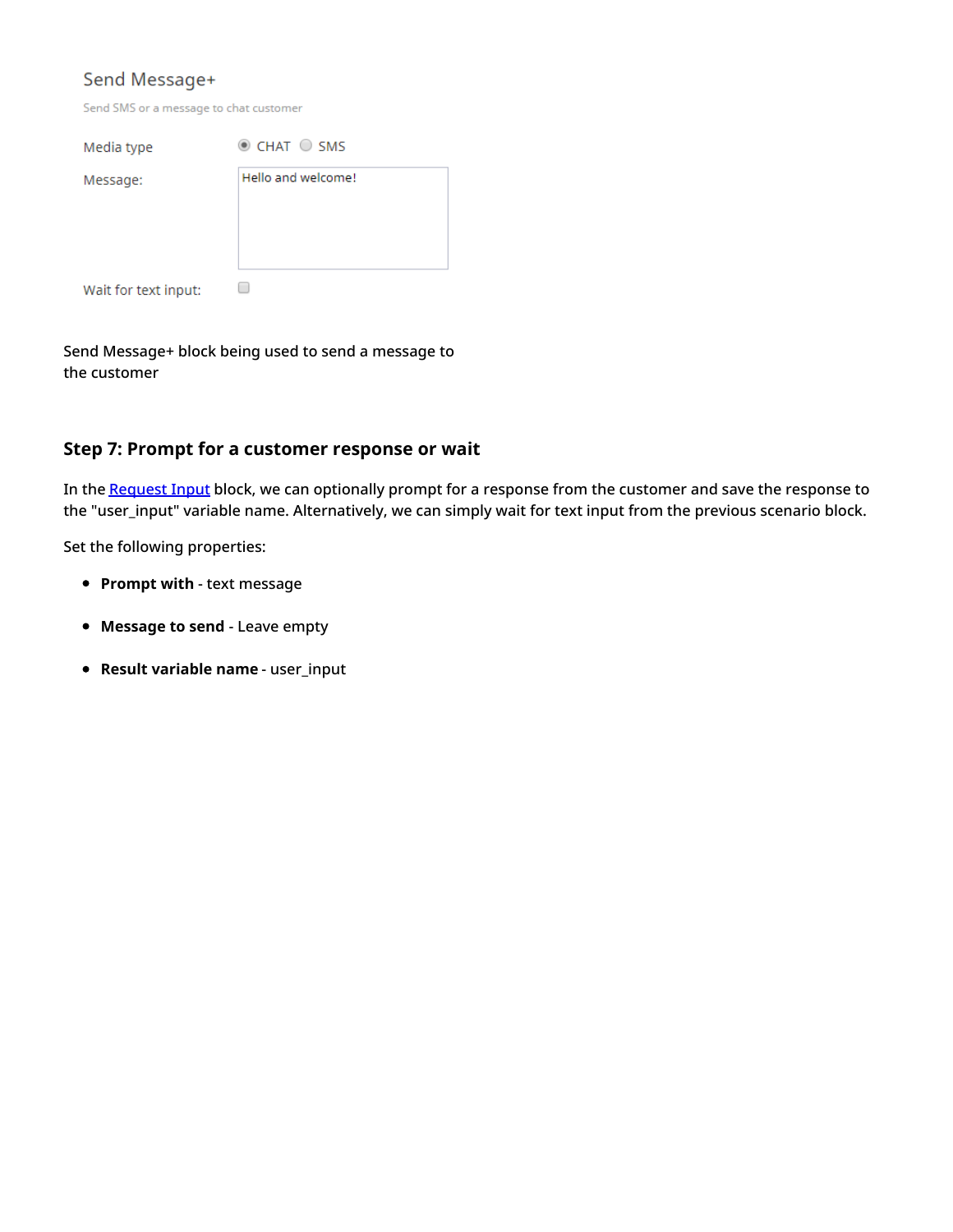## Send Message+

| Send SMS or a message to chat customer |  |
|----------------------------------------|--|
|----------------------------------------|--|

| Media type           | $\odot$ CHAT $\odot$ SMS |
|----------------------|--------------------------|
| Message:             | Hello and welcome!       |
|                      |                          |
|                      |                          |
|                      |                          |
| Wait for text input: |                          |

Send Message+ block being used to send a message to the customer

#### <span id="page-7-0"></span>**Step 7: Prompt for a customer response or wait**

In the [Request](https://help.brightpattern.com/5.3:Scenario-builder-reference-guide/Exercises/AllScenarioExercises/?action=html-localimages-export#topic_scenario-builder-reference-guide.2Fscenarioblocks.2Frequestinput) Input block, we can optionally prompt for a response from the customer and save the response to the "user\_input" variable name. Alternatively, we can simply wait for text input from the previous scenario block.

- **Prompt with** text message
- **Message to send** Leave empty
- **Result variable name** user\_input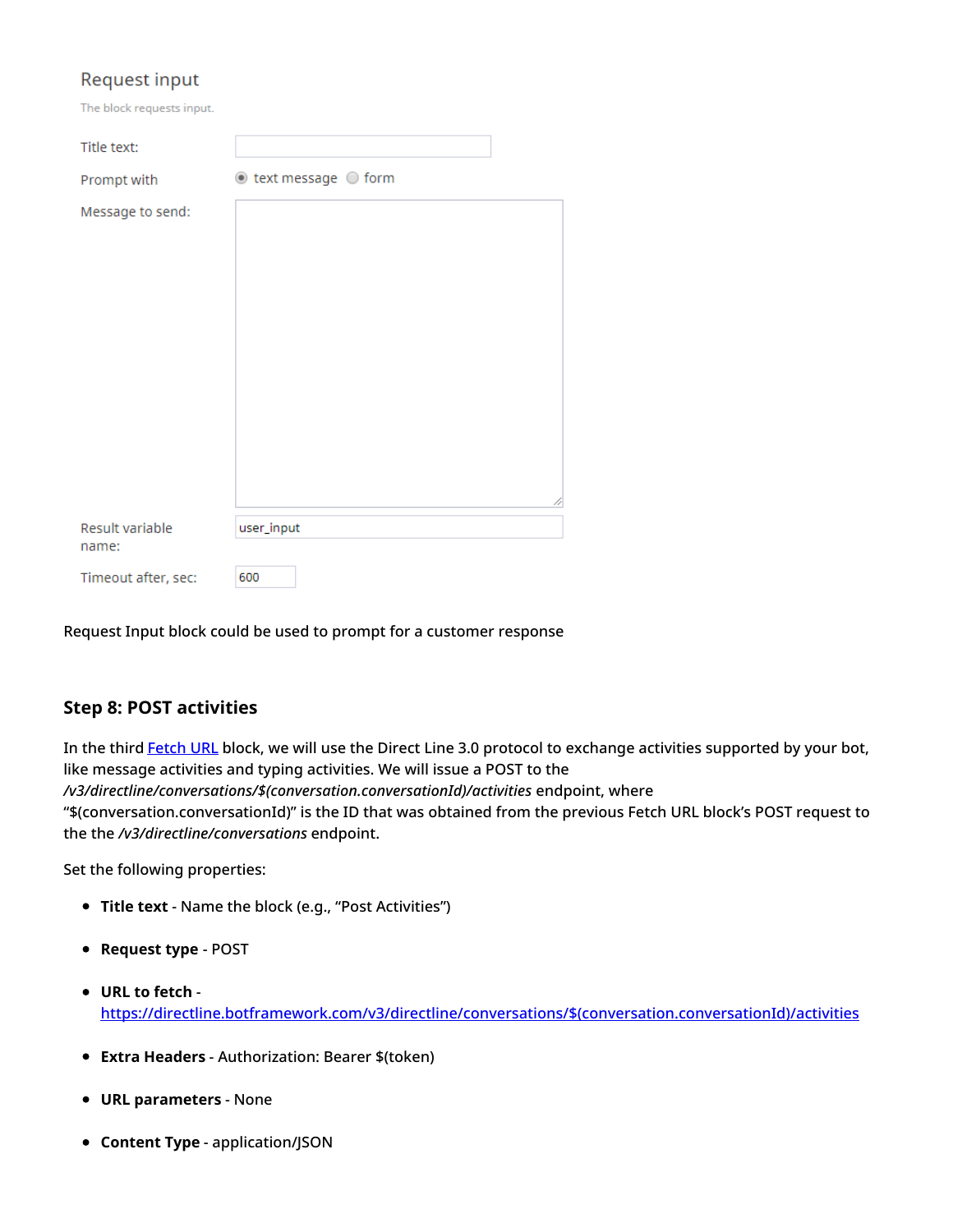## Request input

The block requests input.

| Title text:         |                                   |
|---------------------|-----------------------------------|
| Prompt with         | $\odot$ text message $\odot$ form |
| Message to send:    |                                   |
| Result variable     | ź<br>user_input                   |
| name:               |                                   |
| Timeout after, sec: | 600                               |

Request Input block could be used to prompt for a customer response

#### <span id="page-8-0"></span>**Step 8: POST activities**

In the third [Fetch](https://help.brightpattern.com/5.3:Scenario-builder-reference-guide/ScenarioBlocks/FetchURL) URL block, we will use the Direct Line 3.0 protocol to exchange activities supported by your bot, like message activities and typing activities. We will issue a POST to the */v3/directline/conversations/\$(conversation.conversationId)/activities* endpoint, where "\$(conversation.conversationId)" is the ID that was obtained from the previous Fetch URL block's POST request to the the */v3/directline/conversations* endpoint.

- **Title text** Name the block (e.g., "Post Activities")
- **Request type** POST
- **URL to fetch** [https://directline.botframework.com/v3/directline/conversations/\\$\(conversation.conversationId\)/activities](https://directline.botframework.com/v3/directline/conversations/$(conversation.conversationId)/activities)
- **Extra Headers** Authorization: Bearer \$(token)
- **URL parameters** None
- **Content Type** application/JSON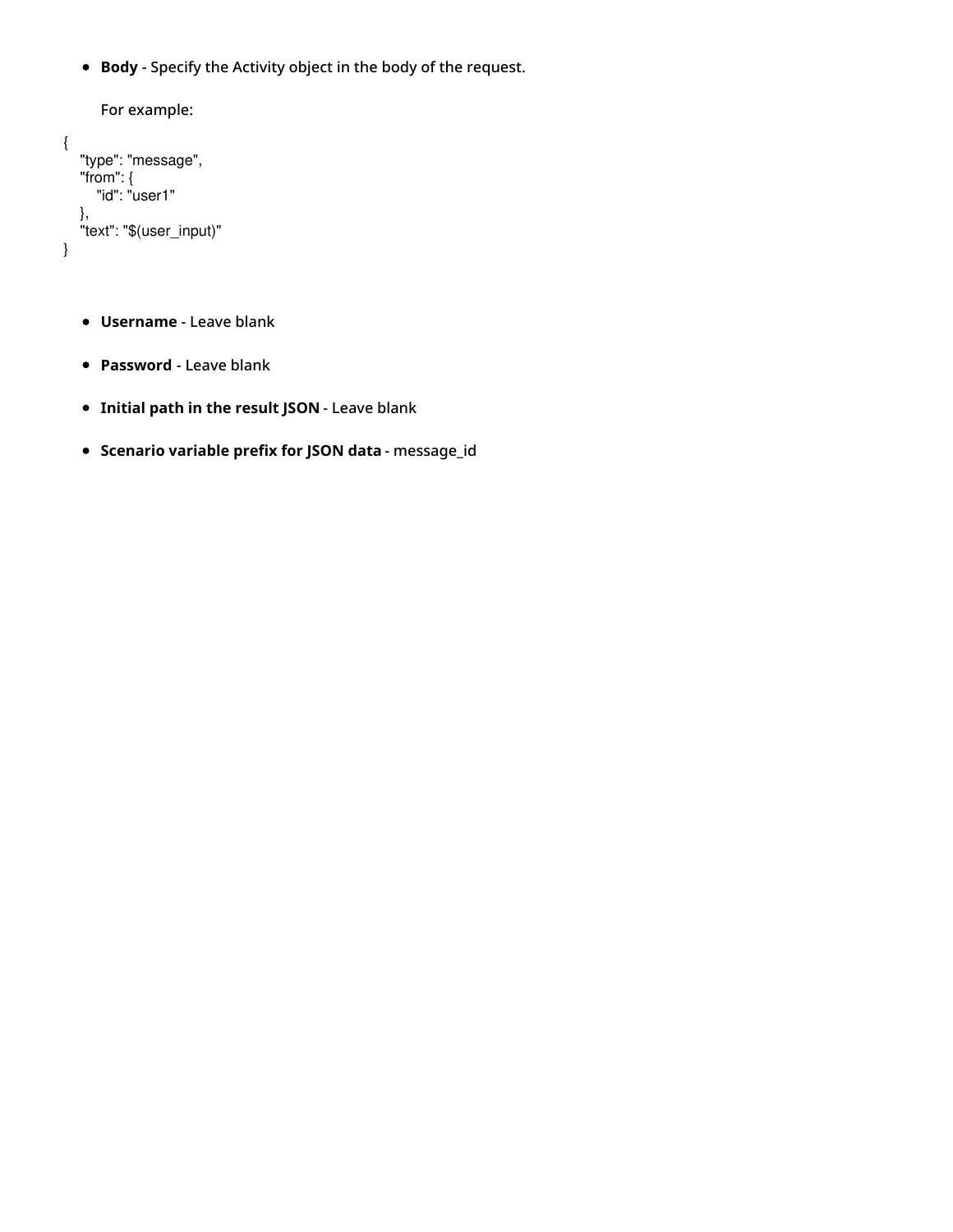**Body** - Specify the Activity object in the body of the request.

```
For example:
{
  "type": "message",
  "from": {
     "id": "user1"
  },
  "text": "$(user_input)"
}
```
- **Username** Leave blank
- **Password** Leave blank
- **Initial path in the result JSON** Leave blank
- **Scenario variable prefix for JSON data** message\_id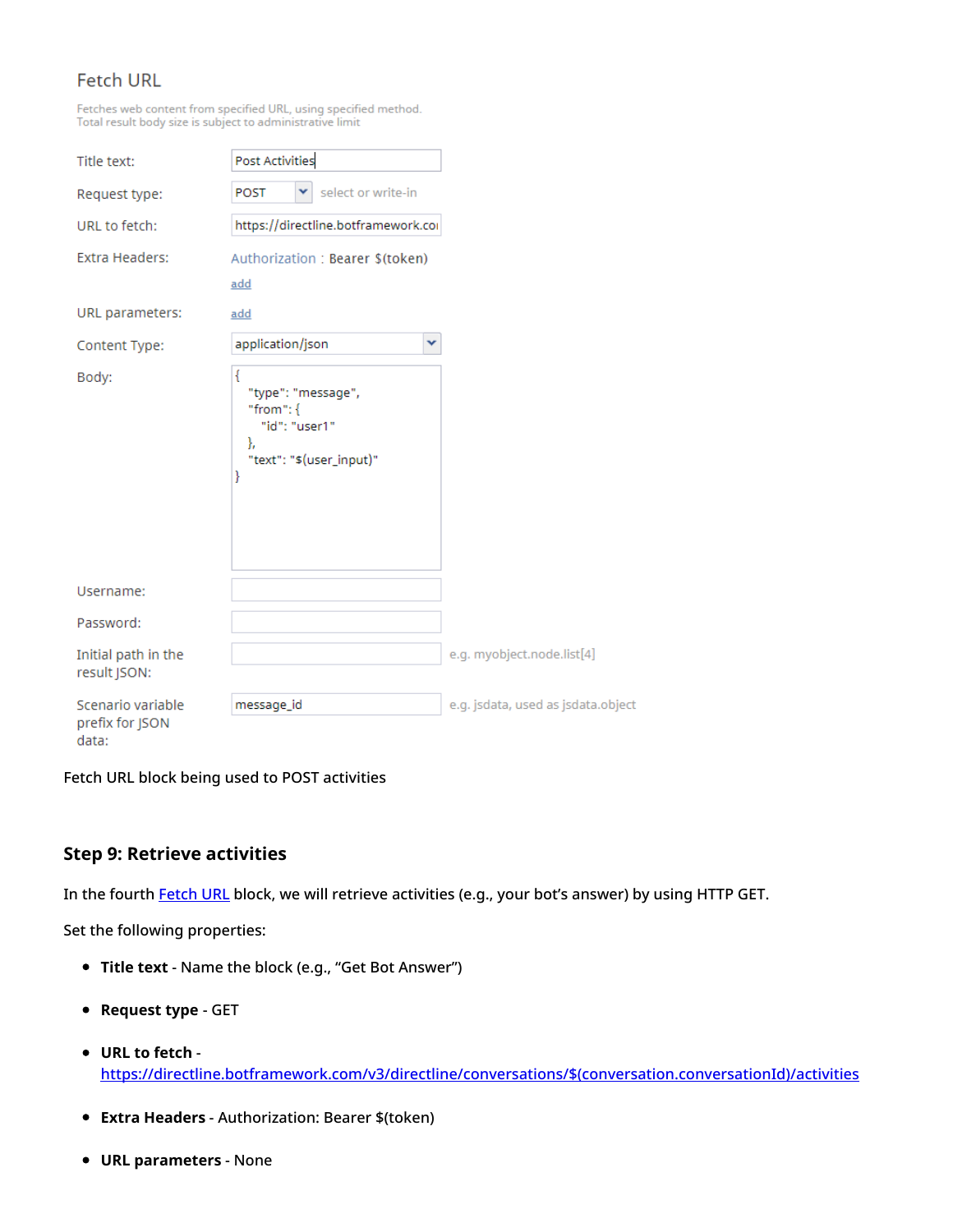## **Fetch URL**

Fetches web content from specified URL, using specified method.<br>Total result body size is subject to administrative limit

| Title text:                                   | <b>Post Activities</b>                                                                          |   |
|-----------------------------------------------|-------------------------------------------------------------------------------------------------|---|
| Request type:                                 | select or write-in<br><b>POST</b>                                                               |   |
| URL to fetch:                                 | https://directline.botframework.cor                                                             |   |
| Extra Headers:                                | Authorization: Bearer \$(token)                                                                 |   |
|                                               | add                                                                                             |   |
| URL parameters:                               | add                                                                                             |   |
| Content Type:                                 | application/json                                                                                | v |
| Body:                                         | ₹<br>"type": "message",<br>"from": $\{$<br>"id": "user1"<br>},<br>"text": "\$(user_input)"<br>ł |   |
| Username:                                     |                                                                                                 |   |
| Password:                                     |                                                                                                 |   |
| Initial path in the<br>result JSON:           |                                                                                                 |   |
| Scenario variable<br>prefix for JSON<br>data: | message_id                                                                                      |   |

Fetch URL block being used to POST activities

#### <span id="page-10-0"></span>**Step 9: Retrieve activities**

In the fourth [Fetch](https://help.brightpattern.com/5.3:Scenario-builder-reference-guide/Exercises/AllScenarioExercises/?action=html-localimages-export#topic_scenario-builder-reference-guide.2Fscenarioblocks.2Ffetchurl) URL block, we will retrieve activities (e.g., your bot's answer) by using HTTP GET.

- **Title text** Name the block (e.g., "Get Bot Answer")
- **Request type** GET
- **URL to fetch** [https://directline.botframework.com/v3/directline/conversations/\\$\(conversation.conversationId\)/activities](https://directline.botframework.com/v3/directline/conversations/$(conversation.conversationId)/activities)
- **Extra Headers** Authorization: Bearer \$(token)
- **URL parameters** None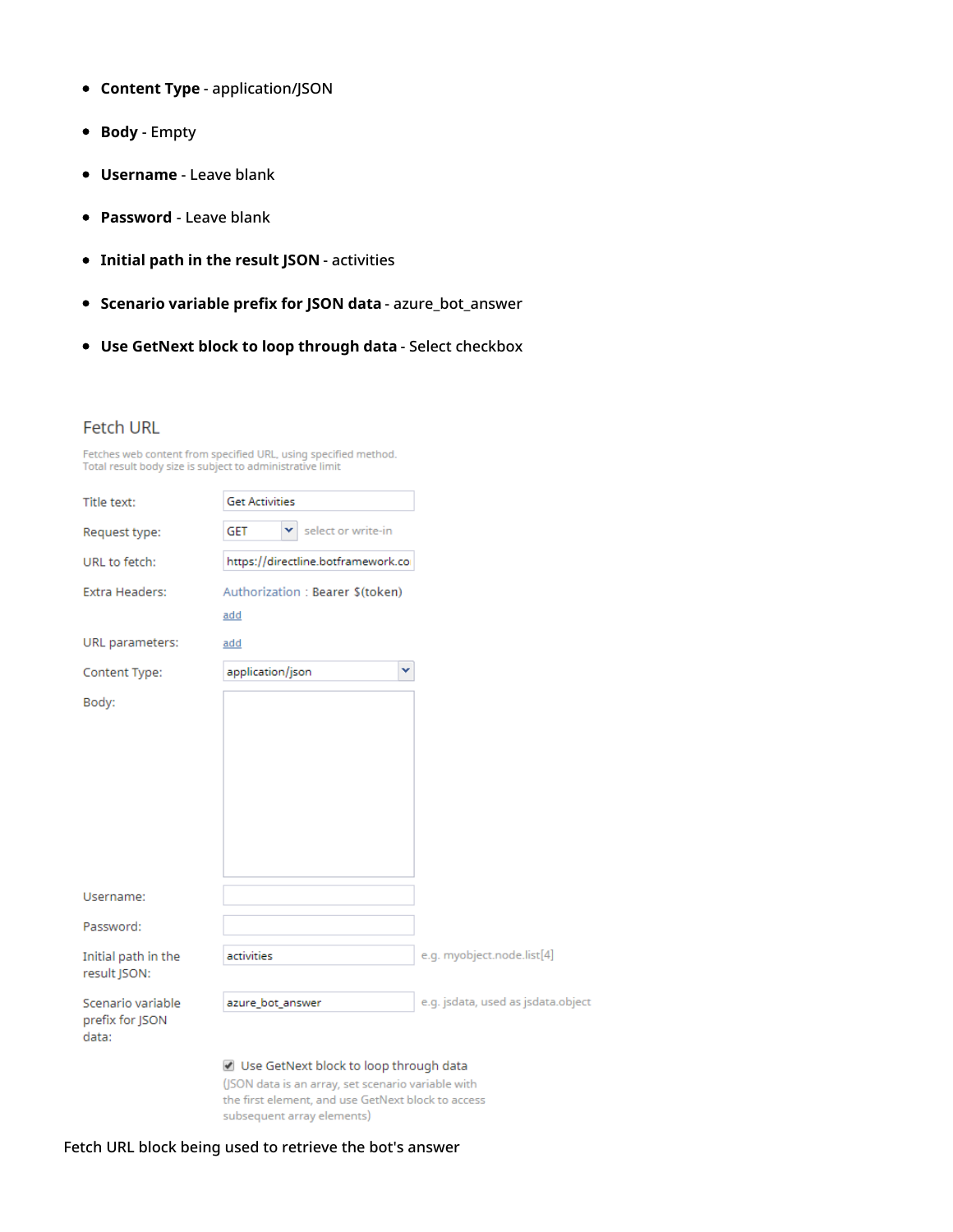- **Content Type** application/JSON
- **Body** Empty
- **Username** Leave blank
- **Password** Leave blank
- **Initial path in the result JSON** activities
- **Scenario variable prefix for JSON data** azure\_bot\_answer
- **Use GetNext block to loop through data** Select checkbox

#### **Fetch URL**

|                                                           |  | Fetches web content from specified URL, using specified method. |  |
|-----------------------------------------------------------|--|-----------------------------------------------------------------|--|
| Total result body size is subject to administrative limit |  |                                                                 |  |

| Title text:                         | <b>Get Activities</b>                  |                                    |
|-------------------------------------|----------------------------------------|------------------------------------|
| Request type:                       | select or write-in<br><b>GET</b><br>v  |                                    |
| URL to fetch:                       | https://directline.botframework.co     |                                    |
| <b>Extra Headers:</b>               | Authorization: Bearer \$(token)<br>add |                                    |
| URL parameters:                     | add                                    |                                    |
| Content Type:                       | application/json<br>×                  |                                    |
| Body:                               |                                        |                                    |
|                                     |                                        |                                    |
|                                     |                                        |                                    |
|                                     |                                        |                                    |
|                                     |                                        |                                    |
|                                     |                                        |                                    |
|                                     |                                        |                                    |
| Username:                           |                                        |                                    |
| Password:                           |                                        |                                    |
| Initial path in the<br>result JSON: | activities                             | e.g. myobject.node.list[4]         |
| Scenario variable                   | azure_bot_answer                       | e.g. jsdata, used as jsdata.object |
| prefix for JSON<br>data:            |                                        |                                    |
|                                     | Use GetNext block to loop through data |                                    |
|                                     |                                        |                                    |

(JSON data is an array, set scenario variable with the first element, and use GetNext block to access subsequent array elements)

#### Fetch URL block being used to retrieve the bot's answer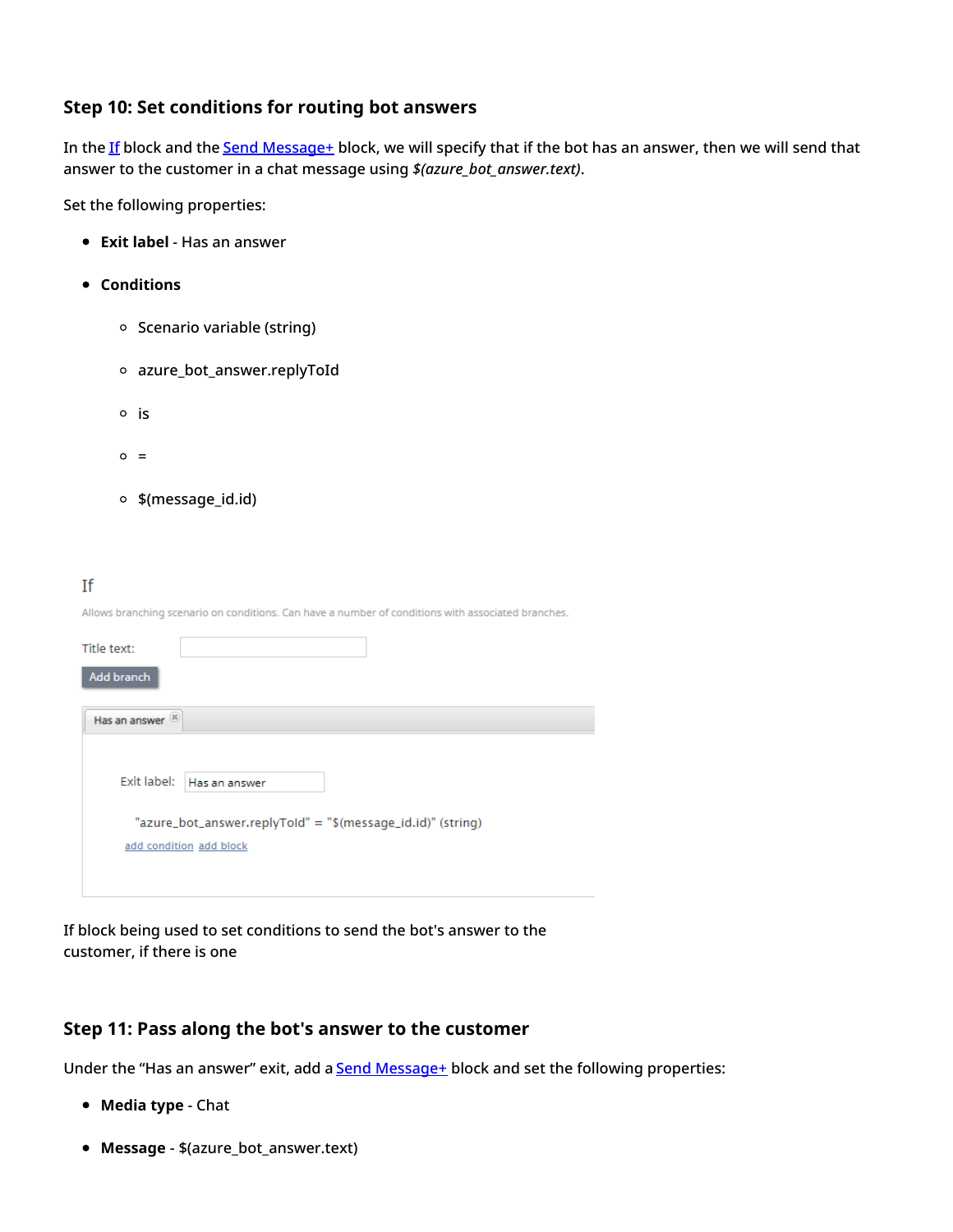#### <span id="page-12-0"></span>**Step 10: Set conditions for routing bot answers**

In the [If](https://help.brightpattern.com/5.3:Scenario-builder-reference-guide/Exercises/AllScenarioExercises/?action=html-localimages-export#topic_scenario-builder-reference-guide.2Fscenarioblocks.2Fif) block and the Send [Message+](https://help.brightpattern.com/5.3:Scenario-builder-reference-guide/Exercises/AllScenarioExercises/?action=html-localimages-export#topic_scenario-builder-reference-guide.2Fscenarioblocks.2Fsendmessage) block, we will specify that if the bot has an answer, then we will send that answer to the customer in a chat message using *\$(azure\_bot\_answer.text)*.

Set the following properties:

- **Exit label** Has an answer
- **Conditions**
	- o Scenario variable (string)
	- azure\_bot\_answer.replyToId
	- $\circ$  is
	- $\circ$  =
	- \$(message\_id.id)

#### If

Allows branching scenario on conditions. Can have a number of conditions with associated branches.

| Title text:   |                                                             |
|---------------|-------------------------------------------------------------|
| Add branch    |                                                             |
| Has an answer |                                                             |
|               |                                                             |
| Exit label:   | Has an answer                                               |
|               | "azure_bot_answer.replyToId" = "\$(message_id.id)" (string) |
|               | add condition add block                                     |
|               |                                                             |
|               |                                                             |

If block being used to set conditions to send the bot's answer to the customer, if there is one

### <span id="page-12-1"></span>**Step 11: Pass along the bot's answer to the customer**

Under the "Has an answer" exit, add a **Send Message**+ block and set the following properties:

- **Media type** Chat
- **Message** \$(azure\_bot\_answer.text)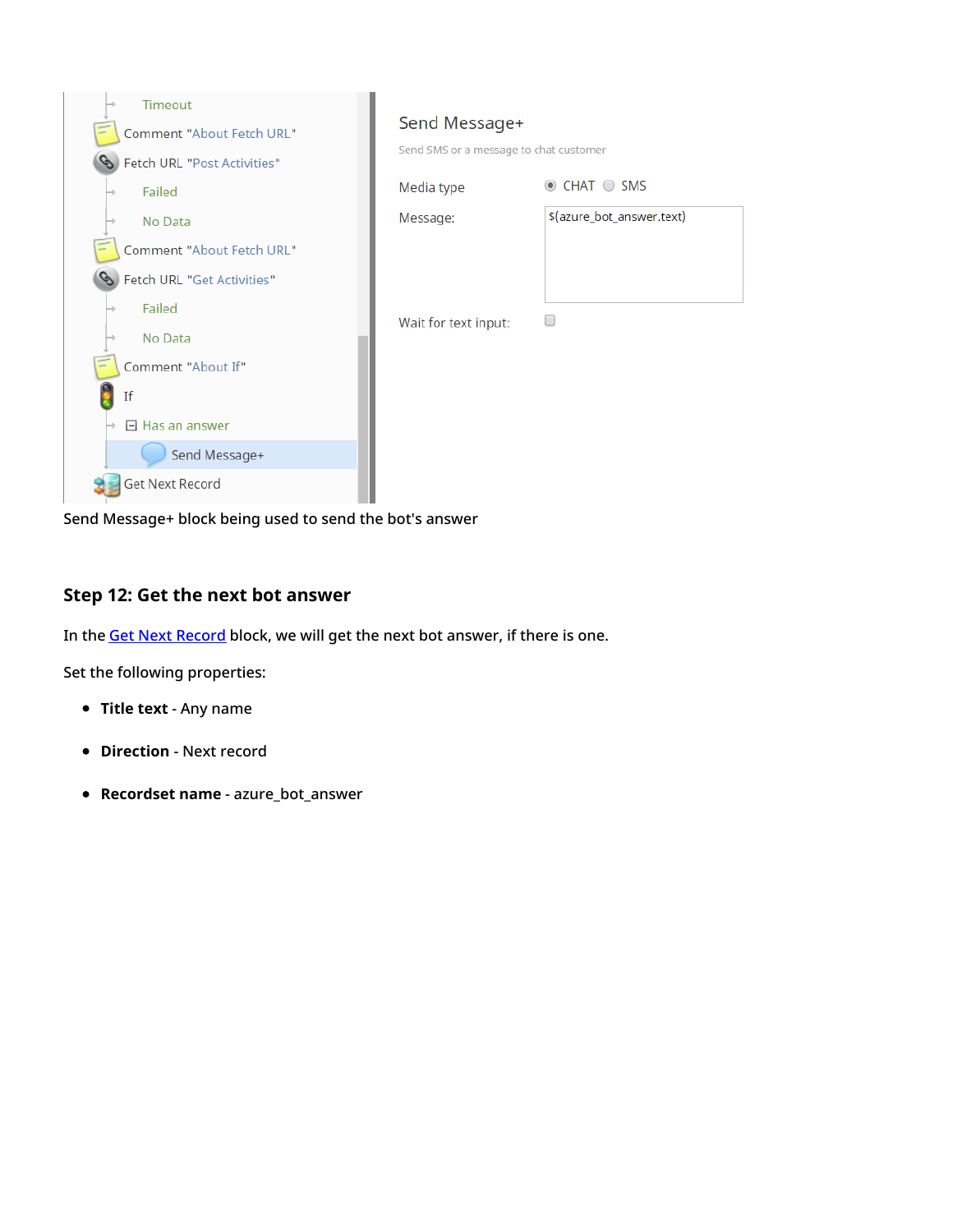| Timeout<br><b>Comment "About Fetch URL"</b><br>Fetch URL "Post Activities" | Send Message+<br>Send SMS or a message to chat customer |                           |
|----------------------------------------------------------------------------|---------------------------------------------------------|---------------------------|
| Failed<br>⇒                                                                | Media type                                              | $\odot$ CHAT $\odot$ SMS  |
| No Data                                                                    | Message:                                                | \$(azure_bot_answer.text) |
| <b>Comment "About Fetch URL"</b>                                           |                                                         |                           |
| Fetch URL "Get Activities"                                                 |                                                         |                           |
| Failed                                                                     | Wait for text input:                                    |                           |
| No Data                                                                    |                                                         |                           |
| Comment "About If"                                                         |                                                         |                           |
| If                                                                         |                                                         |                           |
| $\Box$ Has an answer                                                       |                                                         |                           |
| Send Message+                                                              |                                                         |                           |
| <b>Get Next Record</b>                                                     |                                                         |                           |

Send Message+ block being used to send the bot's answer

### <span id="page-13-0"></span>**Step 12: Get the next bot answer**

In the **Get Next [Record](https://help.brightpattern.com/5.3:Scenario-builder-reference-guide/Exercises/AllScenarioExercises/?action=html-localimages-export#topic_scenario-builder-reference-guide.2Fscenarioblocks.2Fgetnextrecord)** block, we will get the next bot answer, if there is one.

- **Title text** Any name
- **Direction** Next record
- **Recordset name** azure\_bot\_answer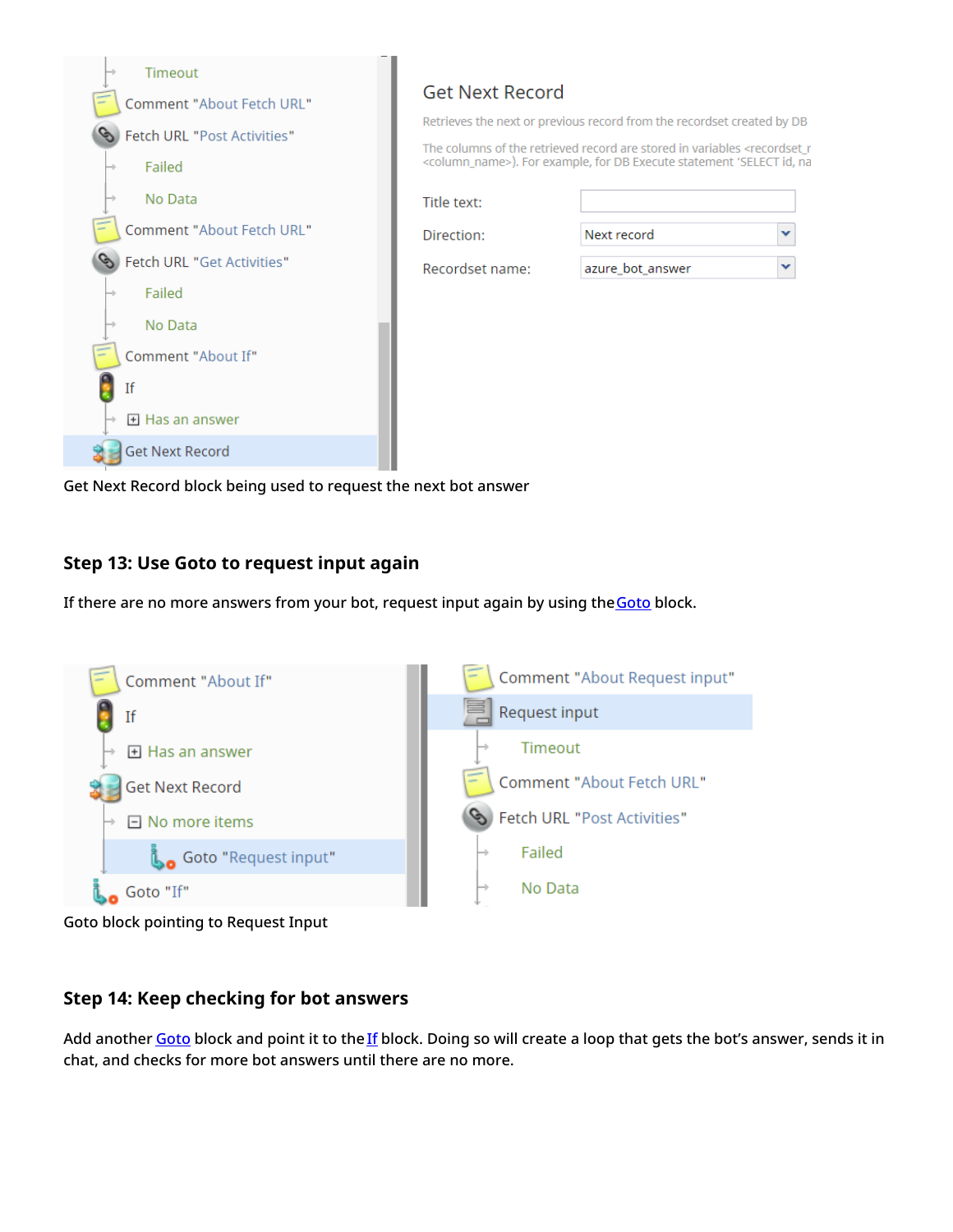

Get Next Record block being used to request the next bot answer

## <span id="page-14-0"></span>**Step 13: Use Goto to request input again**

If there are no more answers from your bot, request input again by using the [Goto](https://help.brightpattern.com/5.3:Scenario-builder-reference-guide/Exercises/AllScenarioExercises/?action=html-localimages-export#topic_scenario-builder-reference-guide.2Fscenarioblocks.2Fgoto) block.



Goto block pointing to Request Input

## <span id="page-14-1"></span>**Step 14: Keep checking for bot answers**

Add another [Goto](https://help.brightpattern.com/5.3:Scenario-builder-reference-guide/Exercises/AllScenarioExercises/?action=html-localimages-export#topic_scenario-builder-reference-guide.2Fscenarioblocks.2Fgoto) block and point it to the [If](https://help.brightpattern.com/5.3:Scenario-builder-reference-guide/Exercises/AllScenarioExercises/?action=html-localimages-export#topic_scenario-builder-reference-guide.2Fscenarioblocks.2Fif) block. Doing so will create a loop that gets the bot's answer, sends it in chat, and checks for more bot answers until there are no more.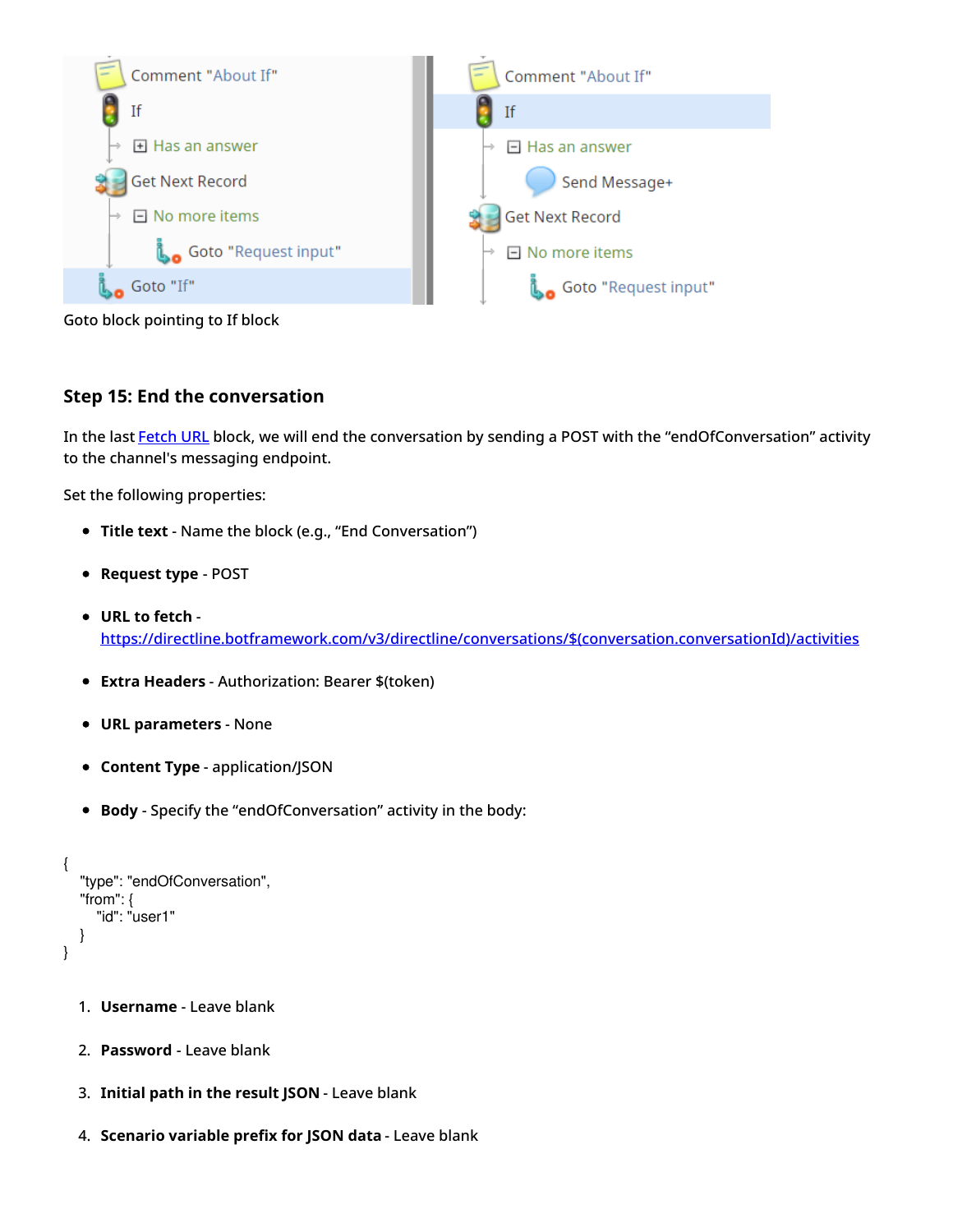

Goto block pointing to If block

#### <span id="page-15-0"></span>**Step 15: End the conversation**

In the last **[Fetch](https://help.brightpattern.com/5.3:Scenario-builder-reference-guide/Exercises/AllScenarioExercises/?action=html-localimages-export#topic_scenario-builder-reference-guide.2Fscenarioblocks.2Ffetchurl) URL** block, we will end the conversation by sending a POST with the "endOfConversation" activity to the channel's messaging endpoint.

- **Title text** Name the block (e.g., "End Conversation")
- **Request type** POST
- **URL to fetch** [https://directline.botframework.com/v3/directline/conversations/\\$\(conversation.conversationId\)/activities](https://directline.botframework.com/v3/directline/conversations/$(conversation.conversationId)/activities)
- **Extra Headers** Authorization: Bearer \$(token)
- **URL parameters** None
- **Content Type** application/JSON
- **Body** Specify the "endOfConversation" activity in the body:

```
{
   "type": "endOfConversation",
   "from": {
     "id": "user1"
  }
}
```
- 1. **Username** Leave blank
- 2. **Password** Leave blank
- 3. **Initial path in the result JSON** Leave blank
- 4. **Scenario variable prefix for JSON data** Leave blank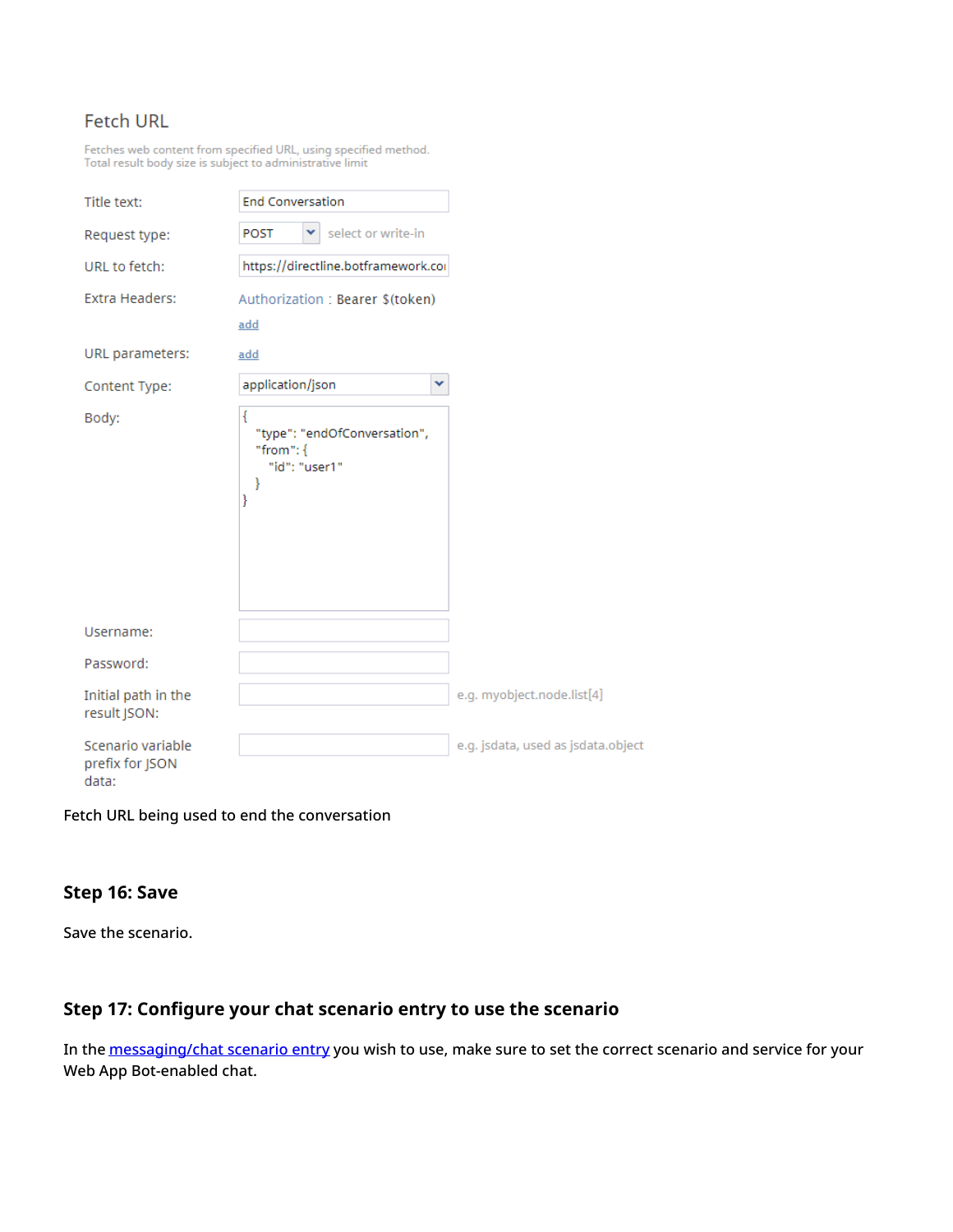## **Fetch URL**

Fetches web content from specified URL, using specified method.<br>Total result body size is subject to administrative limit

| Title text:                                   | <b>End Conversation</b>                                                      |
|-----------------------------------------------|------------------------------------------------------------------------------|
| Request type:                                 | select or write-in<br><b>POST</b><br>v                                       |
| URL to fetch:                                 | https://directline.botframework.cor                                          |
| Extra Headers:                                | Authorization: Bearer \$(token)                                              |
|                                               | add                                                                          |
| URL parameters:                               | add                                                                          |
| Content Type:                                 | application/json<br>v                                                        |
| Body:                                         | ł<br>"type": "endOfConversation",<br>"from": $\{$<br>"id": "user1"<br>ł<br>ł |
| Username:                                     |                                                                              |
| Password:                                     |                                                                              |
| Initial path in the<br>result JSON:           |                                                                              |
| Scenario variable<br>prefix for JSON<br>data: |                                                                              |

Fetch URL being used to end the conversation

#### <span id="page-16-0"></span>**Step 16: Save**

Save the scenario.

## <span id="page-16-1"></span>**Step 17: Configure your chat scenario entry to use the scenario**

In the **[messaging/chat](https://help.brightpattern.com/5.3:Scenario-builder-reference-guide/Exercises/AllScenarioExercises/?action=html-localimages-export#topic_contact-center-administrator-guide.2Fscenarioentries.2Fmessagingchat) scenario entry** you wish to use, make sure to set the correct scenario and service for your Web App Bot-enabled chat.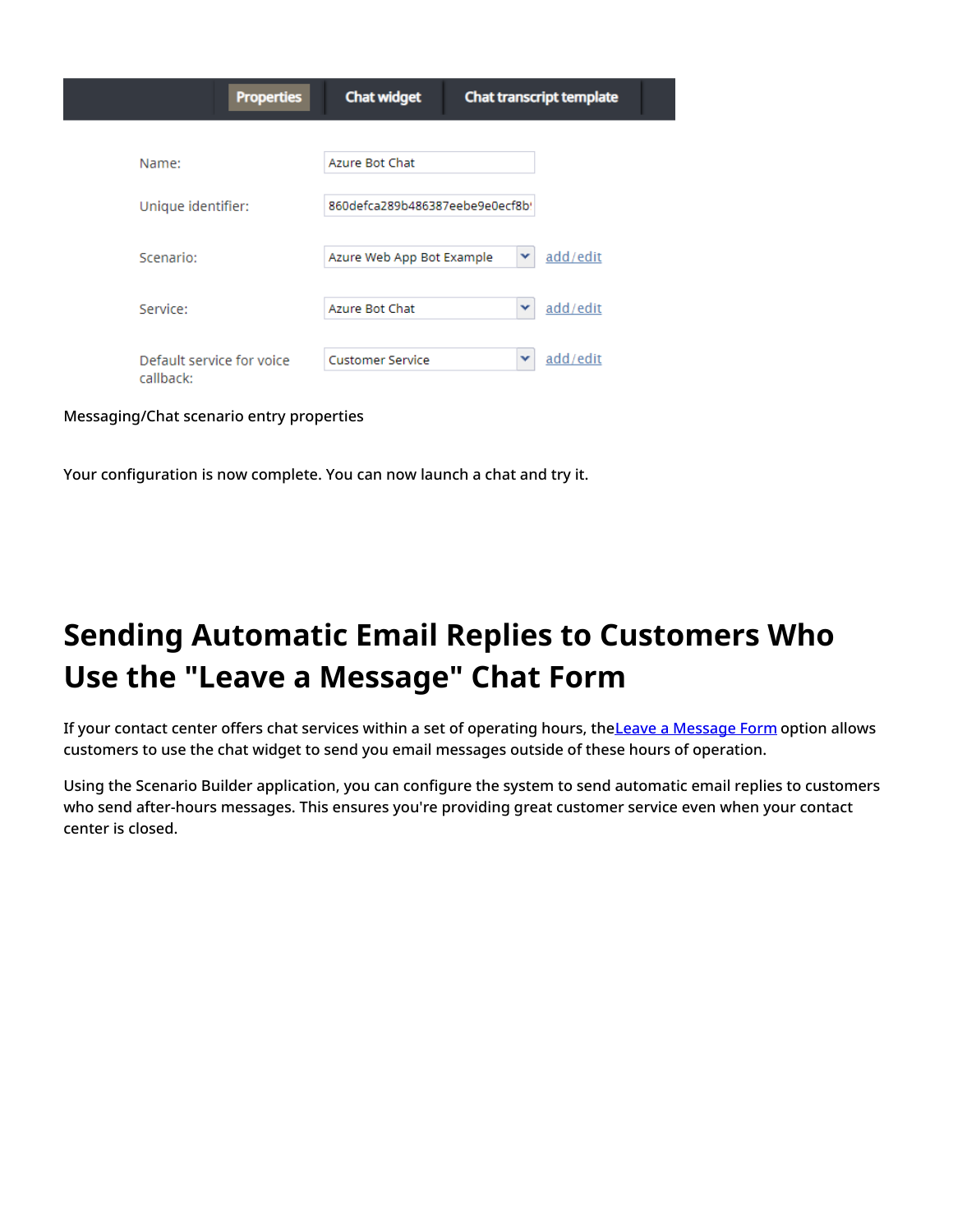| <b>Properties</b>                      | <b>Chat widget</b>              |   | <b>Chat transcript template</b> |
|----------------------------------------|---------------------------------|---|---------------------------------|
|                                        |                                 |   |                                 |
| Name:                                  | Azure Bot Chat                  |   |                                 |
| Unique identifier:                     | 860defca289b486387eebe9e0ecf8b! |   |                                 |
| Scenario:                              | Azure Web App Bot Example       | v | add/edit                        |
| Service:                               | Azure Bot Chat                  | v | add/edit                        |
| Default service for voice<br>callback: | <b>Customer Service</b>         | v | add/edit                        |

Messaging/Chat scenario entry properties

Your configuration is now complete. You can now launch a chat and try it.

# <span id="page-17-0"></span>**Sending Automatic Email Replies to Customers Who Use the "Leave a Message" Chat Form**

If your contact center offers chat services within a set of operating hours, the Leave a [Message](https://help.brightpattern.com/5.3:Chat-widget-configuration-guide/ContactTab#Leave_a_Message_Form_Configuration) Form option allows customers to use the chat widget to send you email messages outside of these hours of operation.

Using the Scenario Builder application, you can configure the system to send automatic email replies to customers who send after-hours messages. This ensures you're providing great customer service even when your contact center is closed.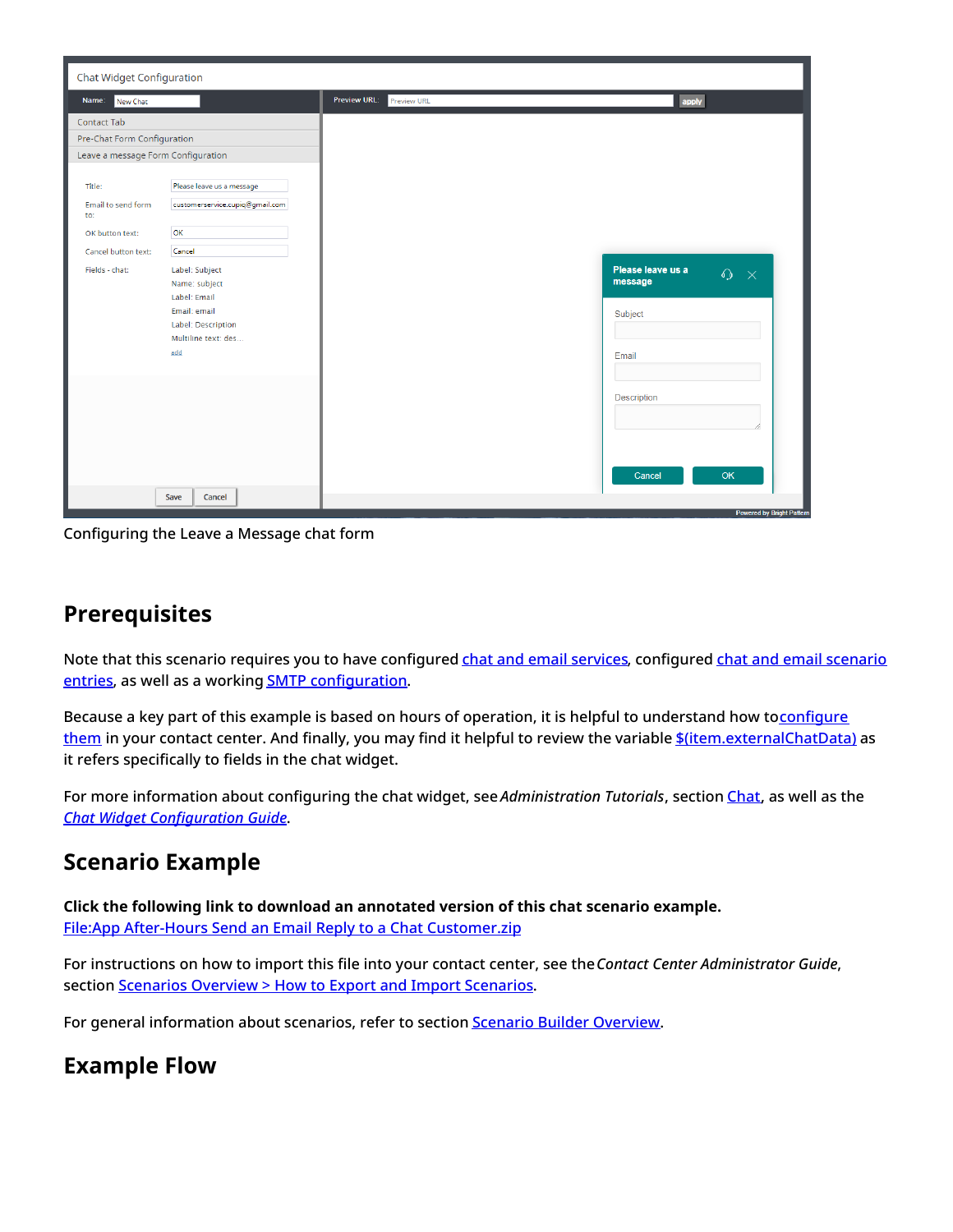

Configuring the Leave a Message chat form

## <span id="page-18-0"></span>**Prerequisites**

Note that this scenario requires you to have configured chat and email [services](https://help.brightpattern.com/5.3:Scenario-builder-reference-guide/Exercises/AllScenarioExercises/?action=html-localimages-export#topic_contact-center-administrator-guide.2Fservicesandcampaigns.2Fservicesandcampaignsoverview), configured chat and email scenario entries, as well as a working **SMTP configuration**.

Because a key part of this example is based on hours of operation, it is helpful to understand how toconfigure them in your contact center. And finally, you may find it helpful to review the variable [\\$\(item.externalChatData\)](https://help.brightpattern.com/5.3:Scenario-builder-reference-guide/VariablesandExpressions/Variables#.24.28item.externalChatData.29) as it refers specifically to fields in the chat widget.

For more information about configuring the chat widget, see *Administration Tutorials*, section [Chat](https://help.brightpattern.com/5.3:Scenario-builder-reference-guide/Exercises/AllScenarioExercises/?action=html-localimages-export#topic_tutorials-for-admins.2Fchat.2Foverview), as well as the *Chat Widget [Configuration](https://help.brightpattern.com/5.3:Chat-widget-configuration-guide/Purpose) Guide*.

# <span id="page-18-1"></span>**Scenario Example**

**Click the following link to download an annotated version of this chat scenario example.** File:App After-Hours Send an Email Reply to a Chat [Customer.zip](https://help.brightpattern.com/File:App_After-Hours_Send_an_Email_Reply_to_a_Chat_Customer.zip)

For instructions on how to import this file into your contact center, see the*Contact Center Administrator Guide*, section [Scenarios](https://help.brightpattern.com/5.3:Contact-center-administrator-guide/ScenariosOverview#How_to_Export_and_Import_Scenarios) Overview > How to Export and Import Scenarios.

For general information about scenarios, refer to section **Scenario Builder [Overview](https://help.brightpattern.com/5.3:Scenario-builder-reference-guide/Exercises/AllScenarioExercises/?action=html-localimages-export#topic_scenario-builder-reference-guide.2Fscenariobuilderoverview)**.

# <span id="page-18-2"></span>**Example Flow**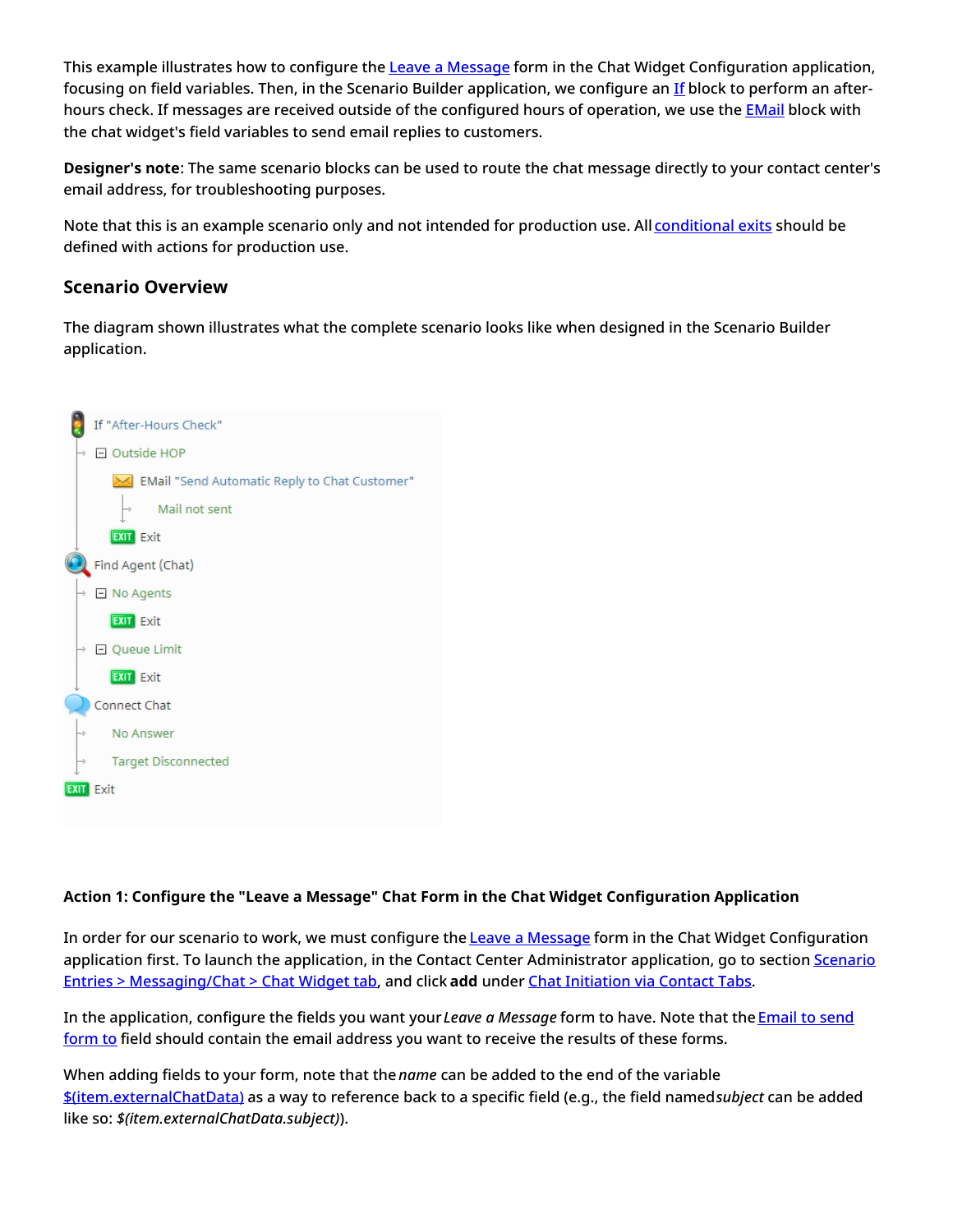This example illustrates how to configure the Leave a [Message](https://help.brightpattern.com/5.3:Chat-widget-configuration-guide/ContactTab#Leave_a_Message_Form_Configuration) form in the Chat Widget Configuration application, focusing on field variables. Then, in the Scenario Builder application, we configure an [If](https://help.brightpattern.com/5.3:Scenario-builder-reference-guide/Exercises/AllScenarioExercises/?action=html-localimages-export#topic_scenario-builder-reference-guide.2Fscenarioblocks.2Fif) block to perform an afterhours check. If messages are received outside of the configured hours of operation, we use the **[EMail](https://help.brightpattern.com/5.3:Scenario-builder-reference-guide/Exercises/AllScenarioExercises/?action=html-localimages-export#topic_scenario-builder-reference-guide.2Fscenarioblocks.2Femail)** block with the chat widget's field variables to send email replies to customers.

**Designer's note**: The same scenario blocks can be used to route the chat message directly to your contact center's email address, for troubleshooting purposes.

Note that this is an example scenario only and not intended for production use. All [conditional](https://help.brightpattern.com/5.3:Scenario-builder-reference-guide/ScenarioBuilderOverview#Conditional_Exits) exits should be defined with actions for production use.

#### <span id="page-19-0"></span>**Scenario Overview**

The diagram shown illustrates what the complete scenario looks like when designed in the Scenario Builder application.



#### <span id="page-19-1"></span>**Action 1: Configure the "Leave a Message" Chat Form in the Chat Widget Configuration Application**

In order for our scenario to work, we must configure the **Leave a [Message](https://help.brightpattern.com/5.3:Chat-widget-configuration-guide/ContactTab#Leave_a_Message_Form_Configuration)** form in the Chat Widget Configuration application first. To launch the application, in the Contact Center Administrator application, go to section Scenario Entries > [Messaging/Chat](https://help.brightpattern.com/5.3:Contact-center-administrator-guide/ScenarioEntries/MessagingChat#Chat_widget) > Chat Widget tab, and click **add** under Chat [Initiation](https://help.brightpattern.com/5.3:Scenario-builder-reference-guide/Exercises/AllScenarioExercises/?action=html-localimages-export#topic_chat-widget-configuration-guide.2Fcontacttab) via Contact Tabs.

In the [application,](https://help.brightpattern.com/5.3:Chat-widget-configuration-guide/ContactTab#Email_to_send_form_to) configure the fields you want your*Leave a Message* form to have. Note that the Email to send form to field should contain the email address you want to receive the results of these forms.

When adding fields to your form, note that the *name* can be added to the end of the variable [\\$\(item.externalChatData\)](https://help.brightpattern.com/5.3:Scenario-builder-reference-guide/VariablesandExpressions/Variables#.24.28item.externalChatData.29) as a way to reference back to a specific field (e.g., the field named*subject* can be added like so: *\$(item.externalChatData.subject)*).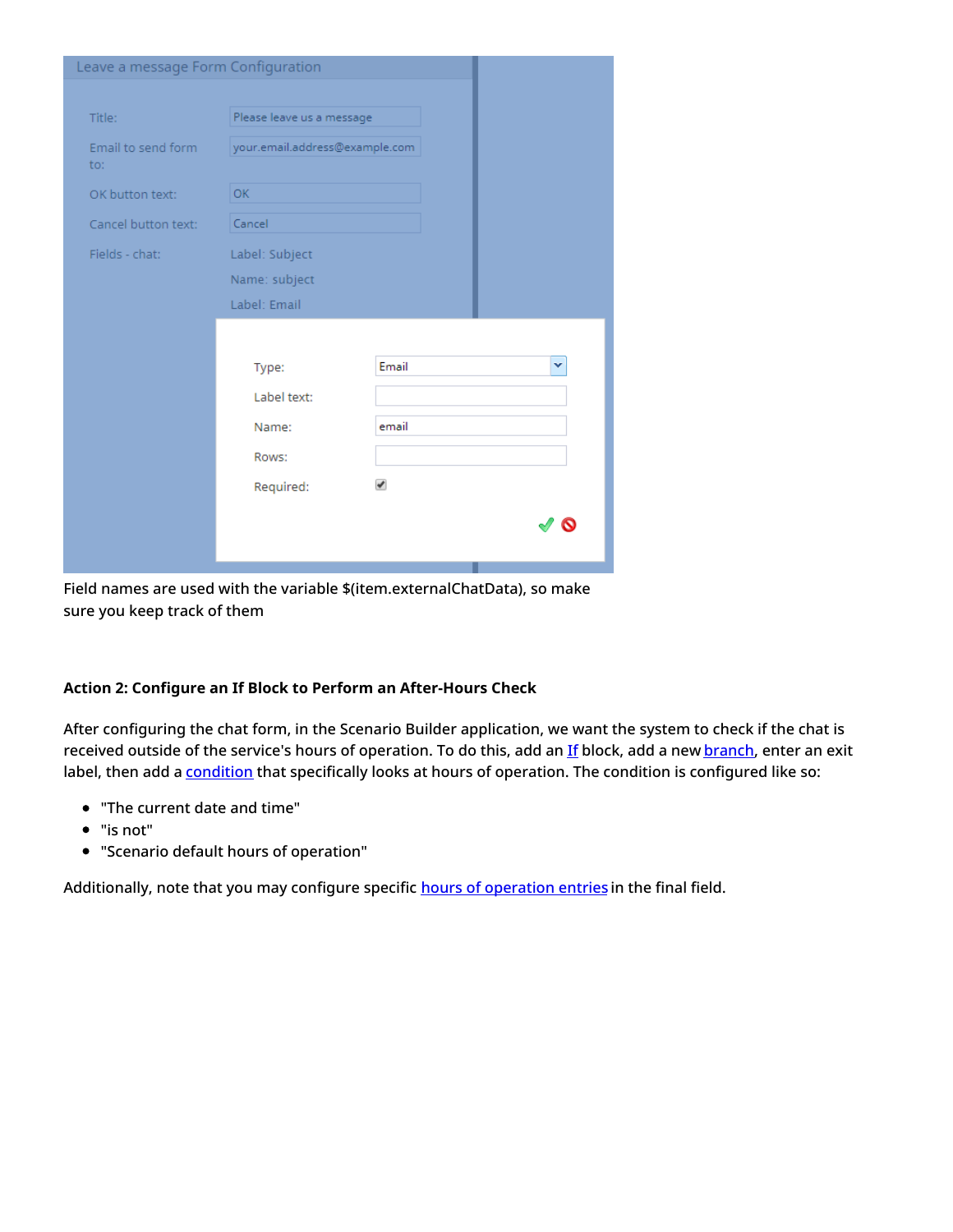| Leave a message Form Configuration |                                |       |   |
|------------------------------------|--------------------------------|-------|---|
|                                    |                                |       |   |
| Title:                             | Please leave us a message      |       |   |
| Email to send form<br>to:          | your.email.address@example.com |       |   |
| OK button text:                    | OK.                            |       |   |
| Cancel button text:                | Cancel                         |       |   |
| Fields - chat:                     | Label: Subject                 |       |   |
|                                    | Name: subject                  |       |   |
|                                    | Label: Email                   |       |   |
|                                    |                                |       |   |
|                                    | Type:                          | Email | v |
|                                    | Label text:                    |       |   |
|                                    | Name:                          | email |   |
|                                    | Rows:                          |       |   |
|                                    | Required:                      | ✔     |   |
|                                    |                                |       | Q |
|                                    |                                |       |   |
|                                    |                                |       |   |

Field names are used with the variable \$(item.externalChatData), so make sure you keep track of them

#### <span id="page-20-0"></span>**Action 2: Configure an If Block to Perform an After-Hours Check**

After configuring the chat form, in the Scenario Builder application, we want the system to check if the chat is received outside of the service's hours of operation. To do this, add an [If](https://help.brightpattern.com/5.3:Scenario-builder-reference-guide/Exercises/AllScenarioExercises/?action=html-localimages-export#topic_scenario-builder-reference-guide.2Fscenarioblocks.2Fif) block, add a new [branch](https://help.brightpattern.com/5.3:Scenario-builder-reference-guide/ScenarioBlocks/If#Branches_and_Conditions), enter an exit label, then add a **[condition](https://help.brightpattern.com/5.3:Scenario-builder-reference-guide/ScenarioBlocks/If#Branches_and_Conditions)** that specifically looks at hours of operation. The condition is configured like so:

- "The current date and time"
- "is not"
- "Scenario default hours of operation"

Additionally, note that you may configure specific hours of [operation](https://help.brightpattern.com/5.3:Scenario-builder-reference-guide/Exercises/AllScenarioExercises/?action=html-localimages-export#topic_contact-center-administrator-guide.2Fcallcenterconfiguration.2Fhoursofoperation) entries in the final field.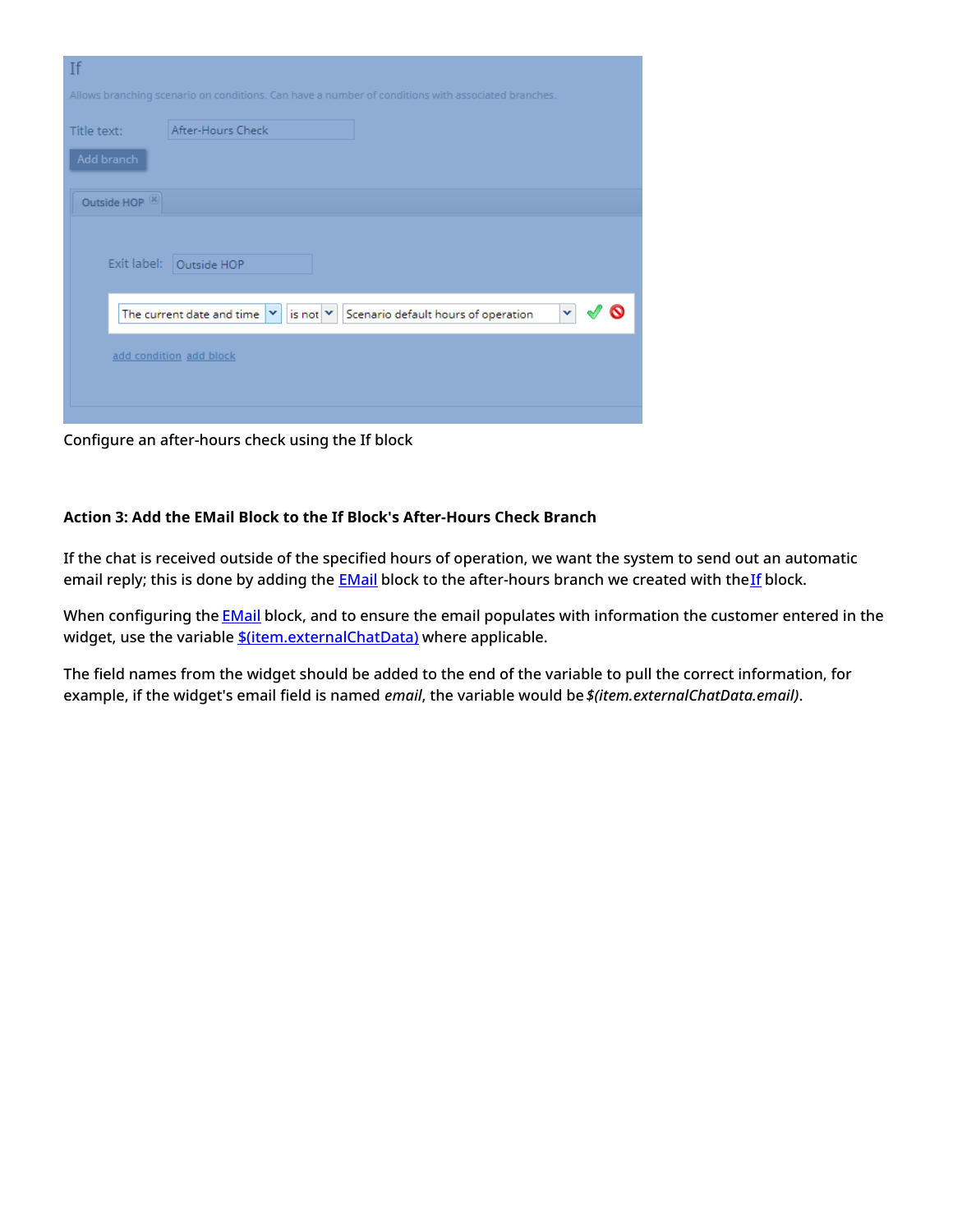| If                                                                                                 |  |
|----------------------------------------------------------------------------------------------------|--|
| Allows branching scenario on conditions. Can have a number of conditions with associated branches. |  |
| After-Hours Check<br>Title text:<br>Add branch                                                     |  |
| Outside HOP <sup>(X)</sup>                                                                         |  |
| Exit label: Outside HOP                                                                            |  |
| The current date and time $ \mathbf{v} $<br>is not $ v $<br>Scenario default hours of operation    |  |
| add condition add block                                                                            |  |
|                                                                                                    |  |

Configure an after-hours check using the If block

#### <span id="page-21-0"></span>**Action 3: Add the EMail Block to the If Block's After-Hours Check Branch**

If the chat is received outside of the specified hours of operation, we want the system to send out an automatic email reply; this is done by adding the **[EMail](https://help.brightpattern.com/5.3:Scenario-builder-reference-guide/Exercises/AllScenarioExercises/?action=html-localimages-export#topic_scenario-builder-reference-guide.2Fscenarioblocks.2Femail)** block to the after-hours branch we created with the[If](https://help.brightpattern.com/5.3:Scenario-builder-reference-guide/Exercises/AllScenarioExercises/?action=html-localimages-export#topic_scenario-builder-reference-guide.2Fscenarioblocks.2Fif) block.

When configuring the **[EMail](https://help.brightpattern.com/5.3:Scenario-builder-reference-guide/Exercises/AllScenarioExercises/?action=html-localimages-export#topic_scenario-builder-reference-guide.2Fscenarioblocks.2Femail)** block, and to ensure the email populates with information the customer entered in the widget, use the variable *\$*(item.externalChatData) where applicable.

The field names from the widget should be added to the end of the variable to pull the correct information, for example, if the widget's email field is named *email*, the variable would be *\$(item.externalChatData.email)*.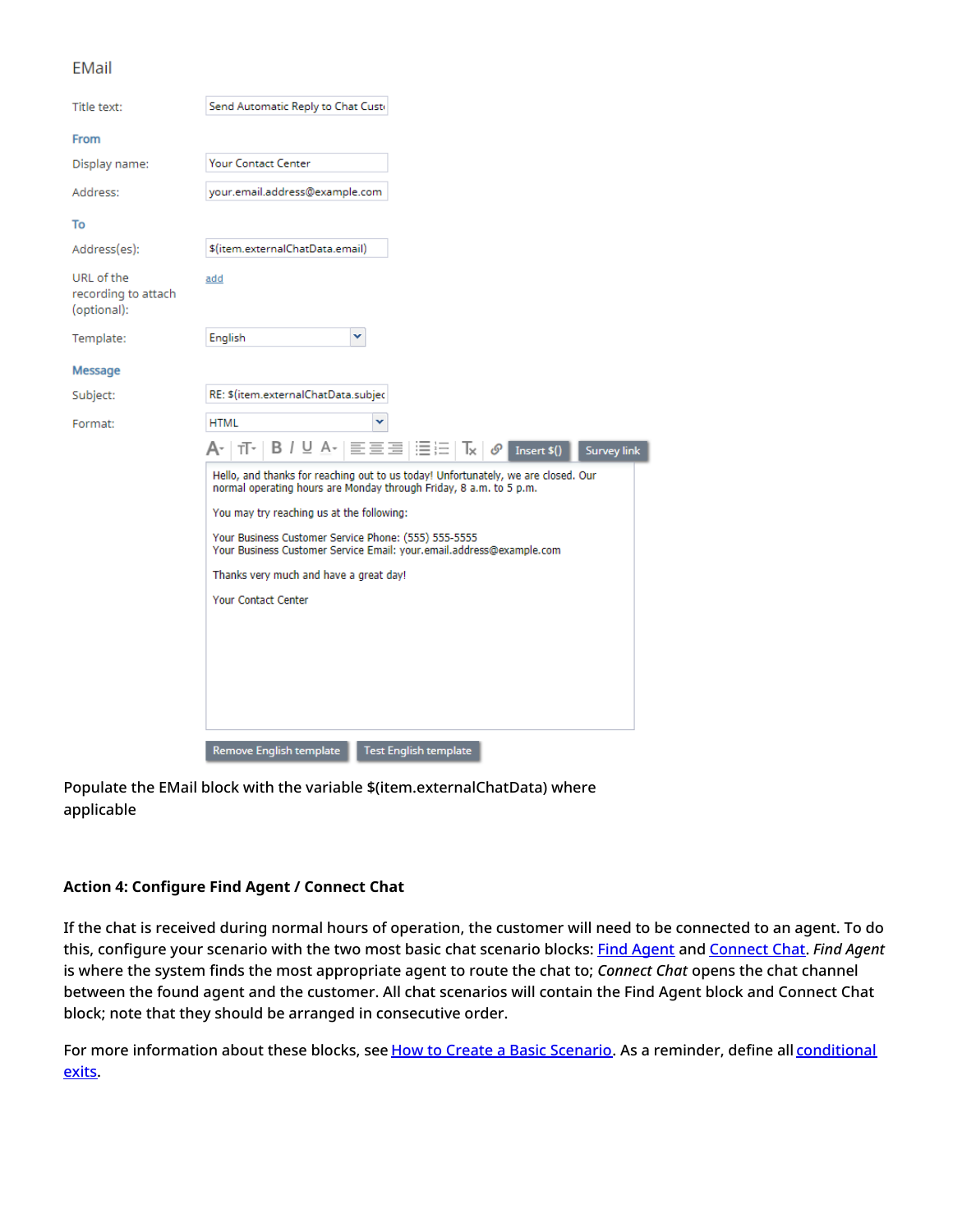#### **EMail**

| Send Automatic Reply to Chat Custo                                                                                                                      |
|---------------------------------------------------------------------------------------------------------------------------------------------------------|
|                                                                                                                                                         |
| <b>Your Contact Center</b>                                                                                                                              |
| your.email.address@example.com                                                                                                                          |
|                                                                                                                                                         |
| \$(item.externalChatData.email)                                                                                                                         |
| add                                                                                                                                                     |
| English<br>×                                                                                                                                            |
|                                                                                                                                                         |
| RE: \$(item.externalChatData.subjec                                                                                                                     |
| <b>HTML</b>                                                                                                                                             |
| A~   ㅠ~   B / U A~   글들글   듣는   Tx   0° <br>Insert \$()<br><b>Survey link</b>                                                                           |
| Hello, and thanks for reaching out to us today! Unfortunately, we are closed. Our<br>normal operating hours are Monday through Friday, 8 a.m. to 5 p.m. |
| You may try reaching us at the following:                                                                                                               |
| Your Business Customer Service Phone: (555) 555-5555<br>Your Business Customer Service Email: your.email.address@example.com                            |
| Thanks very much and have a great day!                                                                                                                  |
| <b>Your Contact Center</b>                                                                                                                              |
|                                                                                                                                                         |
|                                                                                                                                                         |
|                                                                                                                                                         |
|                                                                                                                                                         |
| Remove English template<br><b>Test English template</b>                                                                                                 |
|                                                                                                                                                         |

Populate the EMail block with the variable \$(item.externalChatData) where applicable

#### <span id="page-22-0"></span>**Action 4: Configure Find Agent / Connect Chat**

If the chat is received during normal hours of operation, the customer will need to be connected to an agent. To do this, configure your scenario with the two most basic chat scenario blocks: Find [Agent](https://help.brightpattern.com/5.3:Scenario-builder-reference-guide/Exercises/AllScenarioExercises/?action=html-localimages-export#topic_scenario-builder-reference-guide.2Ffindagent) and [Connect](https://help.brightpattern.com/5.3:Scenario-builder-reference-guide/Exercises/AllScenarioExercises/?action=html-localimages-export#topic_scenario-builder-reference-guide.2Fconnectchat) Chat. *Find Agent* is where the system finds the most appropriate agent to route the chat to; *Connect Chat* opens the chat channel between the found agent and the customer. All chat scenarios will contain the Find Agent block and Connect Chat block; note that they should be arranged in consecutive order.

For more [information](https://help.brightpattern.com/5.3:Scenario-builder-reference-guide/ScenarioBuilderOverview#Conditional_Exits) about these blocks, see How to Create a Basic [Scenario](https://help.brightpattern.com/5.3:Scenario-builder-reference-guide/Exercises/AllScenarioExercises/?action=html-localimages-export#topic_scenario-builder-reference-guide.2Fhowtocreateabasicscenario). As a reminder, define all conditional exits.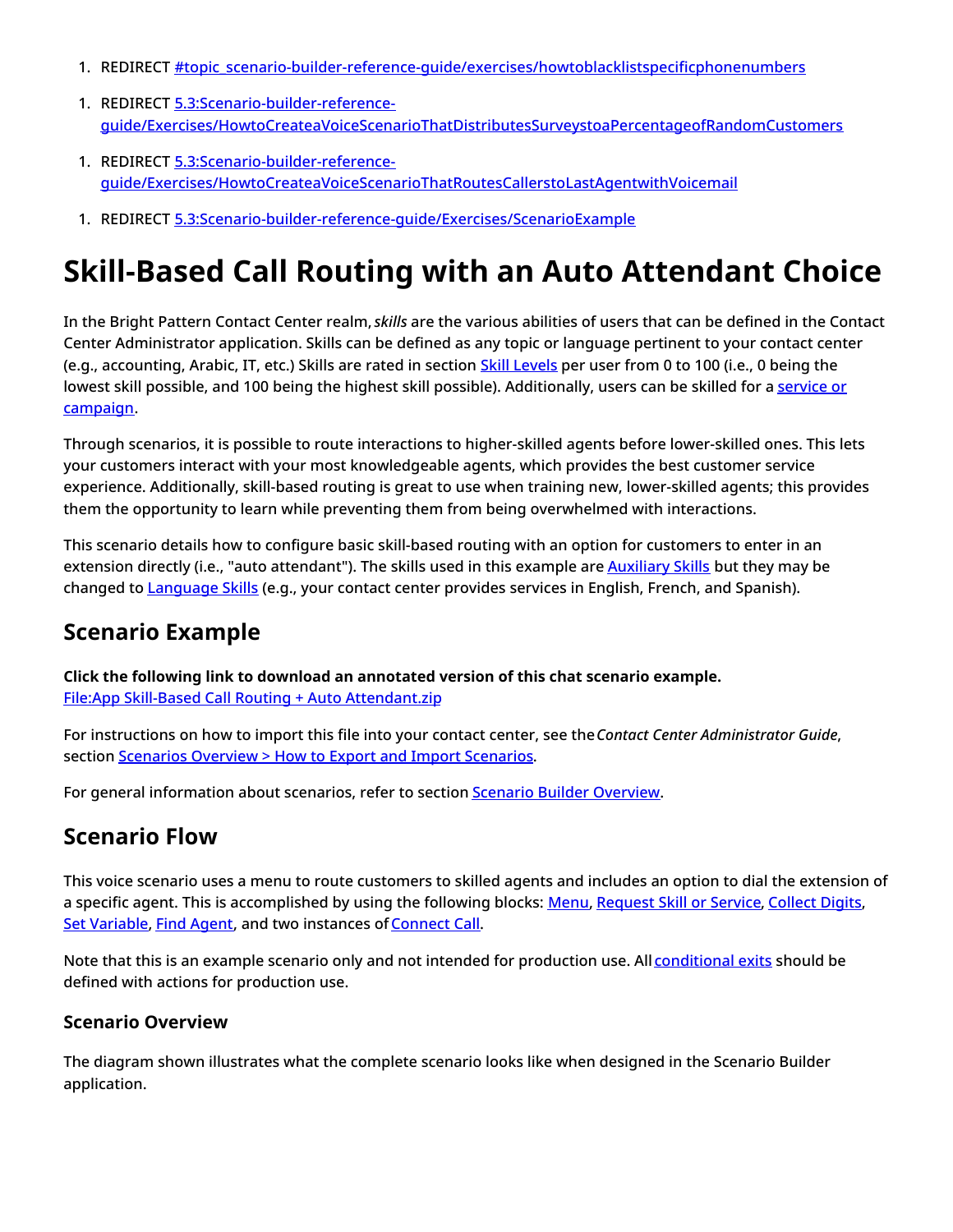- 1. REDIRECT **[#topic\\_scenario-builder-reference-guide/exercises/howtoblacklistspecificphonenumbers](https://help.brightpattern.com/5.3:Scenario-builder-reference-guide/Exercises/AllScenarioExercises/?action=html-localimages-export#topic_scenario-builder-reference-guide.2Fexercises.2Fhowtoblacklistspecificphonenumbers)**
- 1. REDIRECT 5.3:Scenario-builder-reference[guide/Exercises/HowtoCreateaVoiceScenarioThatDistributesSurveystoaPercentageofRandomCustomers](https://help.brightpattern.com/5.3:Scenario-builder-reference-guide/Exercises/HowtoCreateaVoiceScenarioThatDistributesSurveystoaPercentageofRandomCustomers)
- 1. REDIRECT 5.3:Scenario-builder-reference[guide/Exercises/HowtoCreateaVoiceScenarioThatRoutesCallerstoLastAgentwithVoicemail](https://help.brightpattern.com/5.3:Scenario-builder-reference-guide/Exercises/HowtoCreateaVoiceScenarioThatRoutesCallerstoLastAgentwithVoicemail)
- 1. REDIRECT [5.3:Scenario-builder-reference-guide/Exercises/ScenarioExample](https://help.brightpattern.com/5.3:Scenario-builder-reference-guide/Exercises/ScenarioExample)

# <span id="page-23-0"></span>**Skill-Based Call Routing with an Auto Attendant Choice**

In the Bright Pattern Contact Center realm, *skills* are the various abilities of users that can be defined in the Contact Center Administrator application. Skills can be defined as any topic or language pertinent to your contact center (e.g., accounting, Arabic, IT, etc.) Skills are rated in section **Skill [Levels](https://help.brightpattern.com/5.3:Scenario-builder-reference-guide/Exercises/AllScenarioExercises/?action=html-localimages-export#topic_contact-center-administrator-guide.2Fusersandteams.2Fskilllevels)** per user from 0 to 100 (i.e., 0 being the lowest skill possible, and 100 being the highest skill possible). [Additionally,](https://help.brightpattern.com/5.3:Scenario-builder-reference-guide/Exercises/AllScenarioExercises/?action=html-localimages-export#topic_contact-center-administrator-guide.2Fservicesandcampaigns.2Fassignmentstab) users can be skilled for a service or campaign.

Through scenarios, it is possible to route interactions to higher-skilled agents before lower-skilled ones. This lets your customers interact with your most knowledgeable agents, which provides the best customer service experience. Additionally, skill-based routing is great to use when training new, lower-skilled agents; this provides them the opportunity to learn while preventing them from being overwhelmed with interactions.

This scenario details how to configure basic skill-based routing with an option for customers to enter in an extension directly (i.e., "auto attendant"). The skills used in this example are **[Auxiliary](https://help.brightpattern.com/5.3:Scenario-builder-reference-guide/Exercises/AllScenarioExercises/?action=html-localimages-export#topic_contact-center-administrator-guide.2Fcallcenterconfiguration.2Fauxiliaryskills) Skills** but they may be changed to **[Language](https://help.brightpattern.com/5.3:Scenario-builder-reference-guide/Exercises/AllScenarioExercises/?action=html-localimages-export#topic_contact-center-administrator-guide.2Fcallcenterconfiguration.2Flanguageskills) Skills** (e.g., your contact center provides services in English, French, and Spanish).

## <span id="page-23-1"></span>**Scenario Example**

**Click the following link to download an annotated version of this chat scenario example.** File:App Skill-Based Call Routing + Auto [Attendant.zip](https://help.brightpattern.com/File:App_Skill-Based_Call_Routing_%2B_Auto_Attendant.zip)

For instructions on how to import this file into your contact center, see the*Contact Center Administrator Guide*, section [Scenarios](https://help.brightpattern.com/5.3:Contact-center-administrator-guide/ScenariosOverview#How_to_Export_and_Import_Scenarios) Overview > How to Export and Import Scenarios.

For general information about scenarios, refer to section **Scenario Builder [Overview](https://help.brightpattern.com/5.3:Scenario-builder-reference-guide/Exercises/AllScenarioExercises/?action=html-localimages-export#topic_scenario-builder-reference-guide.2Fscenariobuilderoverview)**.

## <span id="page-23-2"></span>**Scenario Flow**

This voice scenario uses a menu to route customers to skilled agents and includes an option to dial the extension of a specific agent. This is accomplished by using the following blocks: [Menu](https://help.brightpattern.com/5.3:Scenario-builder-reference-guide/Exercises/AllScenarioExercises/?action=html-localimages-export#topic_scenario-builder-reference-guide.2Fscenarioblocks.2Fmenu), [Request](https://help.brightpattern.com/5.3:Scenario-builder-reference-guide/Exercises/AllScenarioExercises/?action=html-localimages-export#topic_scenario-builder-reference-guide.2Fscenarioblocks.2Frequestskillorservice) Skill or Service, [Collect](https://help.brightpattern.com/5.3:Scenario-builder-reference-guide/Exercises/AllScenarioExercises/?action=html-localimages-export#topic_scenario-builder-reference-guide.2Fscenarioblocks.2Fcollectdigits) Digits, Set [Variable](https://help.brightpattern.com/5.3:Scenario-builder-reference-guide/Exercises/AllScenarioExercises/?action=html-localimages-export#topic_scenario-builder-reference-guide.2Fscenarioblocks.2Fsetvariable), Find [Agent](https://help.brightpattern.com/5.3:Scenario-builder-reference-guide/Exercises/AllScenarioExercises/?action=html-localimages-export#topic_scenario-builder-reference-guide.2Fscenarioblocks.2Ffindagent), and two instances of [Connect](https://help.brightpattern.com/5.3:Scenario-builder-reference-guide/Exercises/AllScenarioExercises/?action=html-localimages-export#topic_scenario-builder-reference-guide.2Fconnectcall) Call.

Note that this is an example scenario only and not intended for production use. All [conditional](https://help.brightpattern.com/5.3:Scenario-builder-reference-guide/ScenarioBuilderOverview#Conditional_Exits) exits should be defined with actions for production use.

## <span id="page-23-3"></span>**Scenario Overview**

The diagram shown illustrates what the complete scenario looks like when designed in the Scenario Builder application.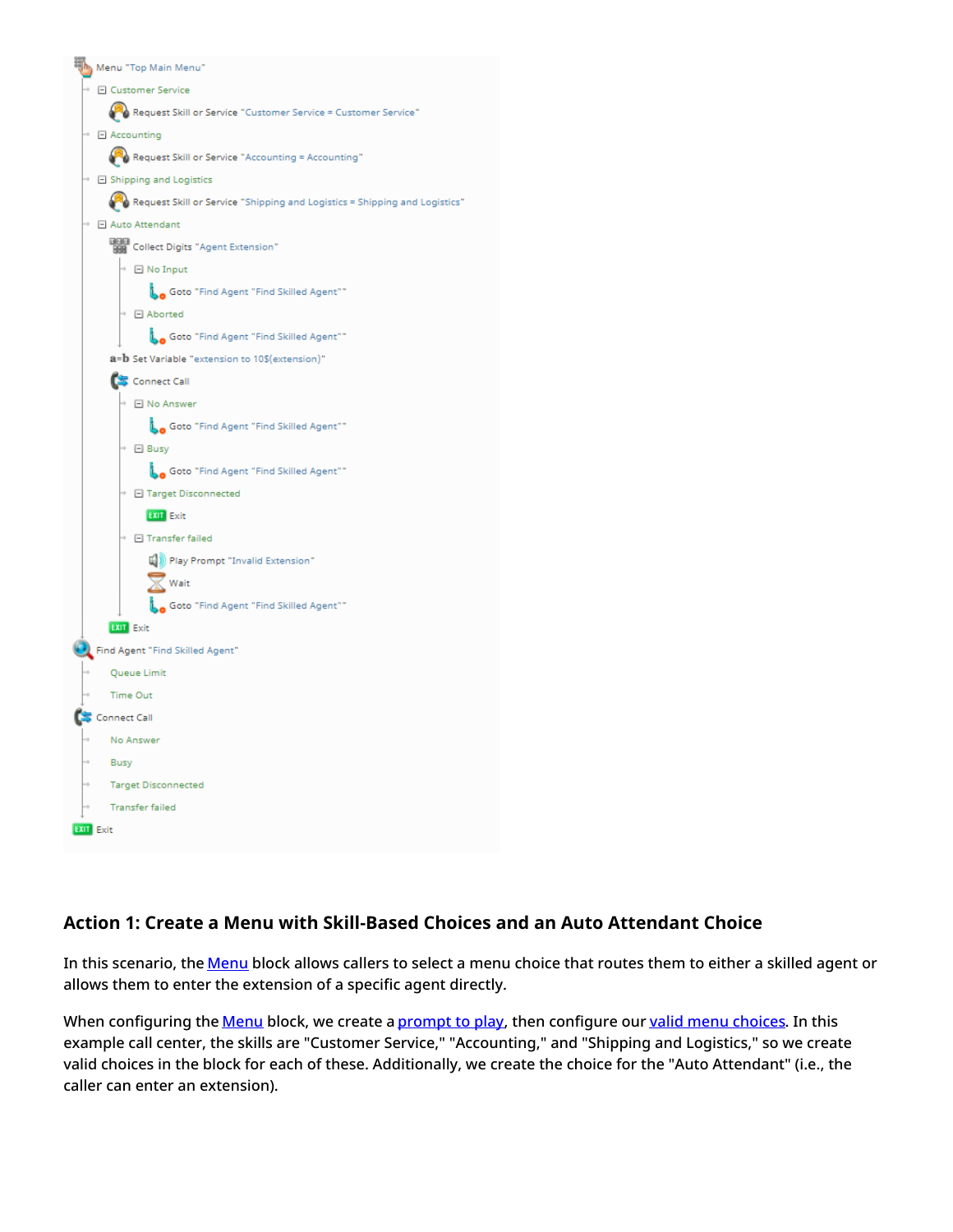

## <span id="page-24-0"></span>**Action 1: Create a Menu with Skill-Based Choices and an Auto Attendant Choice**

In this scenario, the [Menu](https://help.brightpattern.com/5.3:Scenario-builder-reference-guide/Exercises/AllScenarioExercises/?action=html-localimages-export#topic_scenario-builder-reference-guide.2Fscenarioblocks.2Fmenu) block allows callers to select a menu choice that routes them to either a skilled agent or allows them to enter the extension of a specific agent directly.

When configuring the [Menu](https://help.brightpattern.com/5.3:Scenario-builder-reference-guide/Exercises/AllScenarioExercises/?action=html-localimages-export#topic_scenario-builder-reference-guide.2Fscenarioblocks.2Fmenu) block, we create a [prompt](https://help.brightpattern.com/5.3:Scenario-builder-reference-guide/ScenarioBlocks/Menu#Properties) to play, then configure our valid menu [choices](https://help.brightpattern.com/5.3:Scenario-builder-reference-guide/ScenarioBlocks/Menu#Properties). In this example call center, the skills are "Customer Service," "Accounting," and "Shipping and Logistics," so we create valid choices in the block for each of these. Additionally, we create the choice for the "Auto Attendant" (i.e., the caller can enter an extension).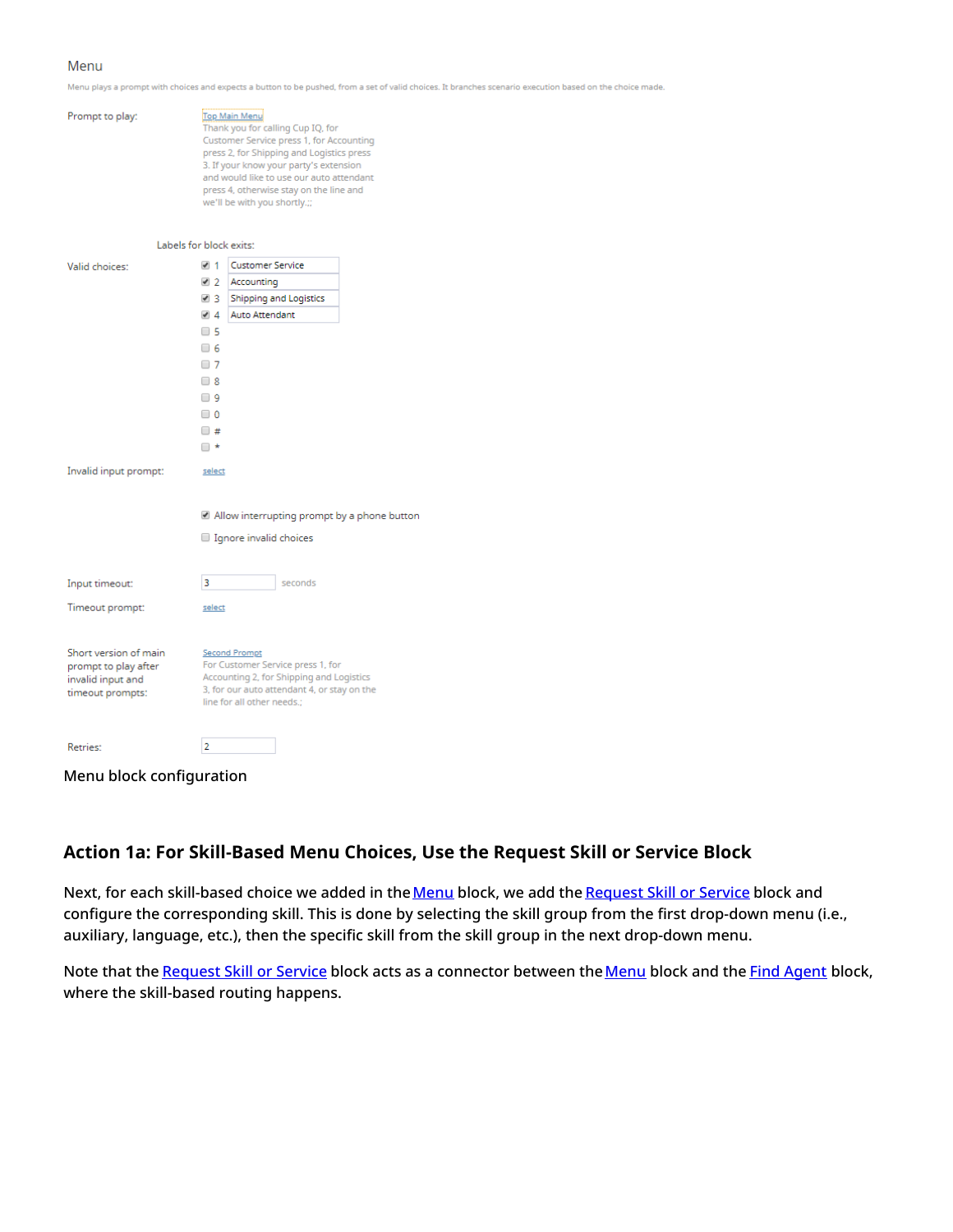#### Menu

Menu plays a prompt with choices and expects a button to be pushed, from a set of valid choices. It branches scenario execution based on the choice made.

| Prompt to play:                                                                        | Top Main Menu<br>Thank you for calling Cup IQ, for<br>Customer Service press 1, for Accounting<br>press 2, for Shipping and Logistics press<br>3. If your know your party's extension<br>and would like to use our auto attendant<br>press 4, otherwise stay on the line and<br>we'll be with you shortly.;; |                                                                                                                                                                                    |  |
|----------------------------------------------------------------------------------------|--------------------------------------------------------------------------------------------------------------------------------------------------------------------------------------------------------------------------------------------------------------------------------------------------------------|------------------------------------------------------------------------------------------------------------------------------------------------------------------------------------|--|
| Labels for block exits:                                                                |                                                                                                                                                                                                                                                                                                              |                                                                                                                                                                                    |  |
| Valid choices:                                                                         | $\blacktriangleright$ 1                                                                                                                                                                                                                                                                                      | <b>Customer Service</b>                                                                                                                                                            |  |
|                                                                                        | $\blacktriangleright$ 2                                                                                                                                                                                                                                                                                      | Accounting                                                                                                                                                                         |  |
|                                                                                        | $\sqrt{3}$                                                                                                                                                                                                                                                                                                   | <b>Shipping and Logistics</b>                                                                                                                                                      |  |
|                                                                                        | 44                                                                                                                                                                                                                                                                                                           | Auto Attendant                                                                                                                                                                     |  |
|                                                                                        | $\Box$ 5                                                                                                                                                                                                                                                                                                     |                                                                                                                                                                                    |  |
|                                                                                        | □ 6                                                                                                                                                                                                                                                                                                          |                                                                                                                                                                                    |  |
|                                                                                        | $\Box$ 7                                                                                                                                                                                                                                                                                                     |                                                                                                                                                                                    |  |
|                                                                                        | $\Box$ 8                                                                                                                                                                                                                                                                                                     |                                                                                                                                                                                    |  |
|                                                                                        | □ 9                                                                                                                                                                                                                                                                                                          |                                                                                                                                                                                    |  |
|                                                                                        | ∪0                                                                                                                                                                                                                                                                                                           |                                                                                                                                                                                    |  |
|                                                                                        | □ #                                                                                                                                                                                                                                                                                                          |                                                                                                                                                                                    |  |
|                                                                                        | □★                                                                                                                                                                                                                                                                                                           |                                                                                                                                                                                    |  |
| Invalid input prompt:                                                                  | select                                                                                                                                                                                                                                                                                                       |                                                                                                                                                                                    |  |
|                                                                                        |                                                                                                                                                                                                                                                                                                              | $\blacksquare$ Allow interrupting prompt by a phone button                                                                                                                         |  |
|                                                                                        |                                                                                                                                                                                                                                                                                                              |                                                                                                                                                                                    |  |
|                                                                                        |                                                                                                                                                                                                                                                                                                              | Ignore invalid choices                                                                                                                                                             |  |
| Input timeout:                                                                         | 3                                                                                                                                                                                                                                                                                                            | seconds                                                                                                                                                                            |  |
| Timeout prompt:                                                                        | select                                                                                                                                                                                                                                                                                                       |                                                                                                                                                                                    |  |
| Short version of main<br>prompt to play after<br>invalid input and<br>timeout prompts: |                                                                                                                                                                                                                                                                                                              | <b>Second Prompt</b><br>For Customer Service press 1, for<br>Accounting 2, for Shipping and Logistics<br>3, for our auto attendant 4, or stay on the<br>line for all other needs.; |  |
| Retries:                                                                               | 2                                                                                                                                                                                                                                                                                                            |                                                                                                                                                                                    |  |

Menu block configuration

#### <span id="page-25-0"></span>**Action 1a: For Skill-Based Menu Choices, Use the Request Skill or Service Block**

Next, for each skill-based choice we added in the [Menu](https://help.brightpattern.com/5.3:Scenario-builder-reference-guide/Exercises/AllScenarioExercises/?action=html-localimages-export#topic_scenario-builder-reference-guide.2Fscenarioblocks.2Fmenu) block, we add the [Request](https://help.brightpattern.com/5.3:Scenario-builder-reference-guide/Exercises/AllScenarioExercises/?action=html-localimages-export#topic_scenario-builder-reference-guide.2Fscenarioblocks.2Frequestskillorservice) Skill or Service block and configure the corresponding skill. This is done by selecting the skill group from the first drop-down menu (i.e., auxiliary, language, etc.), then the specific skill from the skill group in the next drop-down menu.

Note that the [Request](https://help.brightpattern.com/5.3:Scenario-builder-reference-guide/Exercises/AllScenarioExercises/?action=html-localimages-export#topic_scenario-builder-reference-guide.2Fscenarioblocks.2Frequestskillorservice) Skill or Service block acts as a connector between the [Menu](https://help.brightpattern.com/5.3:Scenario-builder-reference-guide/Exercises/AllScenarioExercises/?action=html-localimages-export#topic_scenario-builder-reference-guide.2Fscenarioblocks.2Fmenu) block and the Find [Agent](https://help.brightpattern.com/5.3:Scenario-builder-reference-guide/Exercises/AllScenarioExercises/?action=html-localimages-export#topic_scenario-builder-reference-guide.2Fscenarioblocks.2Ffindagent) block, where the skill-based routing happens.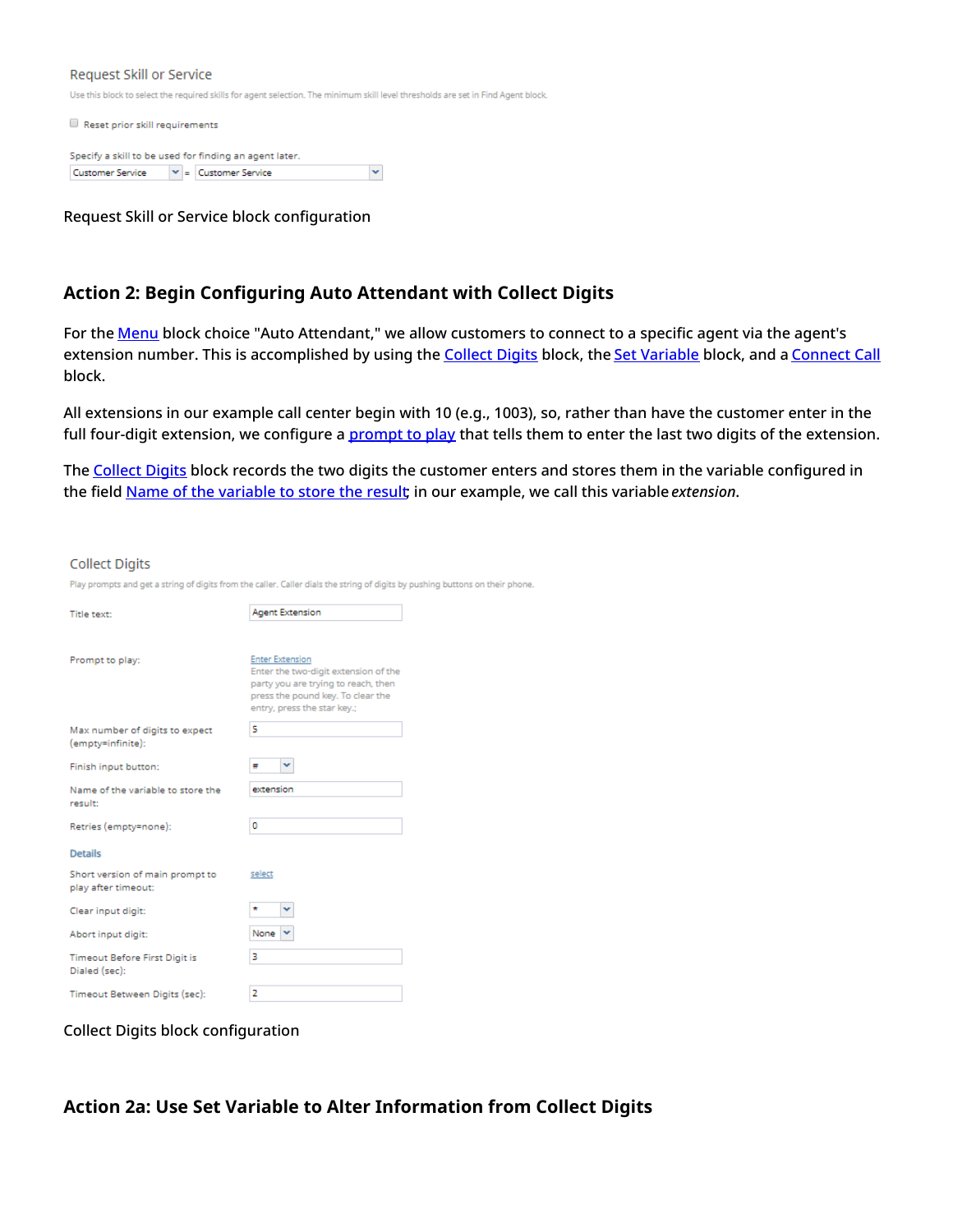#### Request Skill or Service

Use this block to select the required skills for agent selection. The minimum skill level thresholds are set in Find Agent block.

Reset prior skill requirements

|                  |  | Specify a skill to be used for finding an agent later. |  |
|------------------|--|--------------------------------------------------------|--|
| Customer Service |  | $\vert \mathbf{v} \vert$ = $\vert$ Customer Service    |  |

Request Skill or Service block configuration

#### <span id="page-26-0"></span>**Action 2: Begin Configuring Auto Attendant with Collect Digits**

For the **[Menu](https://help.brightpattern.com/5.3:Scenario-builder-reference-guide/Exercises/AllScenarioExercises/?action=html-localimages-export#topic_scenario-builder-reference-guide.2Fscenarioblocks.2Fmenu)** block choice "Auto Attendant," we allow customers to connect to a specific agent via the agent's extension number. This is accomplished by using the [Collect](https://help.brightpattern.com/5.3:Scenario-builder-reference-guide/Exercises/AllScenarioExercises/?action=html-localimages-export#topic_scenario-builder-reference-guide.2Fscenarioblocks.2Fcollectdigits) Digits block, the Set [Variable](https://help.brightpattern.com/5.3:Scenario-builder-reference-guide/Exercises/AllScenarioExercises/?action=html-localimages-export#topic_scenario-builder-reference-guide.2Fscenarioblocks.2Fsetvariable) block, and a [Connect](https://help.brightpattern.com/5.3:Scenario-builder-reference-guide/Exercises/AllScenarioExercises/?action=html-localimages-export#topic_scenario-builder-reference-guide.2Fconnectcall) Call block.

All extensions in our example call center begin with 10 (e.g., 1003), so, rather than have the customer enter in the full four-digit extension, we configure a **[prompt](https://help.brightpattern.com/5.3:Scenario-builder-reference-guide/ScenarioBlocks/CollectDigits#Properties) to play** that tells them to enter the last two digits of the extension.

The [Collect](https://help.brightpattern.com/5.3:Scenario-builder-reference-guide/Exercises/AllScenarioExercises/?action=html-localimages-export#topic_scenario-builder-reference-guide.2Fscenarioblocks.2Fcollectdigits) Digits block records the two digits the customer enters and stores them in the variable configured in the field Name of the [variable](https://help.brightpattern.com/5.3:Scenario-builder-reference-guide/ScenarioBlocks/CollectDigits#Properties) to store the result; in our example, we call this variable *extension*.

#### **Collect Digits**

Play prompts and get a string of digits from the caller. Caller dials the string of digits by pushing buttons on their phone.

| Title text:                                            | <b>Agent Extension</b>                                                                                                                                                    |  |  |
|--------------------------------------------------------|---------------------------------------------------------------------------------------------------------------------------------------------------------------------------|--|--|
|                                                        |                                                                                                                                                                           |  |  |
| Prompt to play:                                        | <b>Enter Extension</b><br>Enter the two-digit extension of the<br>party you are trying to reach, then<br>press the pound key. To clear the<br>entry, press the star key.; |  |  |
| Max number of digits to expect<br>(empty=infinite):    | 5                                                                                                                                                                         |  |  |
| Finish input button:                                   | v<br>×                                                                                                                                                                    |  |  |
| Name of the variable to store the<br>result:           | extension                                                                                                                                                                 |  |  |
| Retries (empty=none):                                  | ٥                                                                                                                                                                         |  |  |
| <b>Details</b>                                         |                                                                                                                                                                           |  |  |
| Short version of main prompt to<br>play after timeout: | select                                                                                                                                                                    |  |  |
| Clear input digit:                                     | *<br>v                                                                                                                                                                    |  |  |
| Abort input digit:                                     | None                                                                                                                                                                      |  |  |
| <b>Timeout Before First Digit is</b><br>Dialed (sec):  | з                                                                                                                                                                         |  |  |
| Timeout Between Digits (sec):                          | 2                                                                                                                                                                         |  |  |

Collect Digits block configuration

#### <span id="page-26-1"></span>**Action 2a: Use Set Variable to Alter Information from Collect Digits**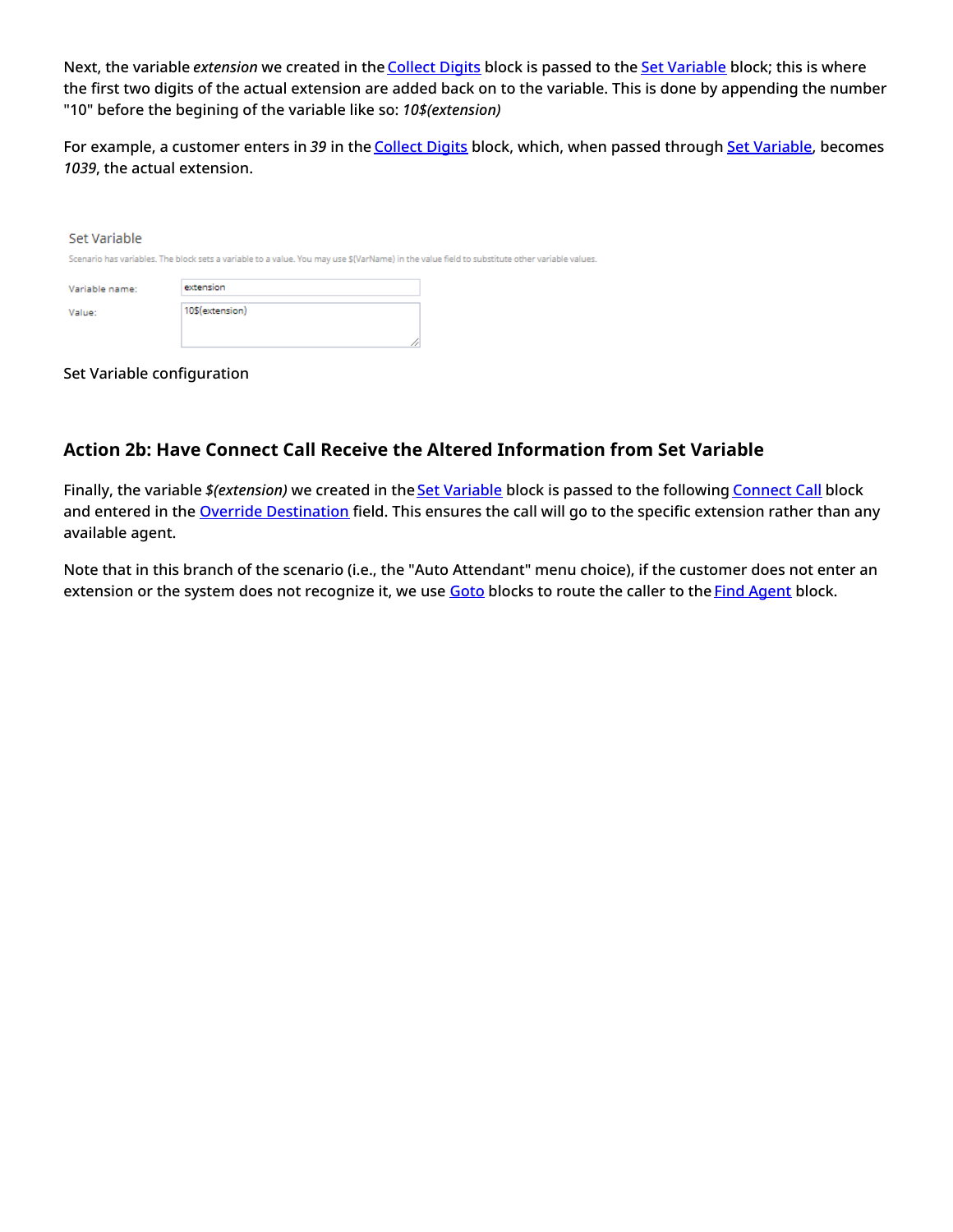Next, the variable *extension* we created in the [Collect](https://help.brightpattern.com/5.3:Scenario-builder-reference-guide/Exercises/AllScenarioExercises/?action=html-localimages-export#topic_scenario-builder-reference-guide.2Fscenarioblocks.2Fcollectdigits) Digits block is passed to the Set [Variable](https://help.brightpattern.com/5.3:Scenario-builder-reference-guide/Exercises/AllScenarioExercises/?action=html-localimages-export#topic_scenario-builder-reference-guide.2Fscenarioblocks.2Fsetvariable) block; this is where the first two digits of the actual extension are added back on to the variable. This is done by appending the number "10" before the begining of the variable like so: *10\$(extension)*

For example, a customer enters in *39* in the [Collect](https://help.brightpattern.com/5.3:Scenario-builder-reference-guide/Exercises/AllScenarioExercises/?action=html-localimages-export#topic_scenario-builder-reference-guide.2Fscenarioblocks.2Fcollectdigits) Digits block, which, when passed through Set [Variable](https://help.brightpattern.com/5.3:Scenario-builder-reference-guide/Exercises/AllScenarioExercises/?action=html-localimages-export#topic_scenario-builder-reference-guide.2Fscenarioblocks.2Fsetvariable), becomes *1039*, the actual extension.

| Set Variable   |                                                                                                                                              |  |
|----------------|----------------------------------------------------------------------------------------------------------------------------------------------|--|
|                | Scenario has variables. The block sets a variable to a value. You may use \$(VarName) in the value field to substitute other variable values |  |
| Variable name: | extension                                                                                                                                    |  |
| Value:         | 10\$(extension)                                                                                                                              |  |

Set Variable configuration

## <span id="page-27-0"></span>**Action 2b: Have Connect Call Receive the Altered Information from Set Variable**

Finally, the variable *\$(extension)* we created in the **Set [Variable](https://help.brightpattern.com/5.3:Scenario-builder-reference-guide/Exercises/AllScenarioExercises/?action=html-localimages-export#topic_scenario-builder-reference-guide.2Fscenarioblocks.2Fsetvariable)** block is passed to the following **[Connect](https://help.brightpattern.com/5.3:Scenario-builder-reference-guide/Exercises/AllScenarioExercises/?action=html-localimages-export#topic_scenario-builder-reference-guide.2Fconnectcall) Call** block and entered in the Override [Destination](https://help.brightpattern.com/5.3:Scenario-builder-reference-guide/ScenarioBlocks/ConnectCall#Override_Destination) field. This ensures the call will go to the specific extension rather than any available agent.

Note that in this branch of the scenario (i.e., the "Auto Attendant" menu choice), if the customer does not enter an extension or the system does not recognize it, we use [Goto](https://help.brightpattern.com/5.3:Scenario-builder-reference-guide/Exercises/AllScenarioExercises/?action=html-localimages-export#topic_scenario-builder-reference-guide.2Fscenarioblocks.2Fgoto) blocks to route the caller to the Find [Agent](https://help.brightpattern.com/5.3:Scenario-builder-reference-guide/Exercises/AllScenarioExercises/?action=html-localimages-export#topic_scenario-builder-reference-guide.2Fscenarioblocks.2Ffindagent) block.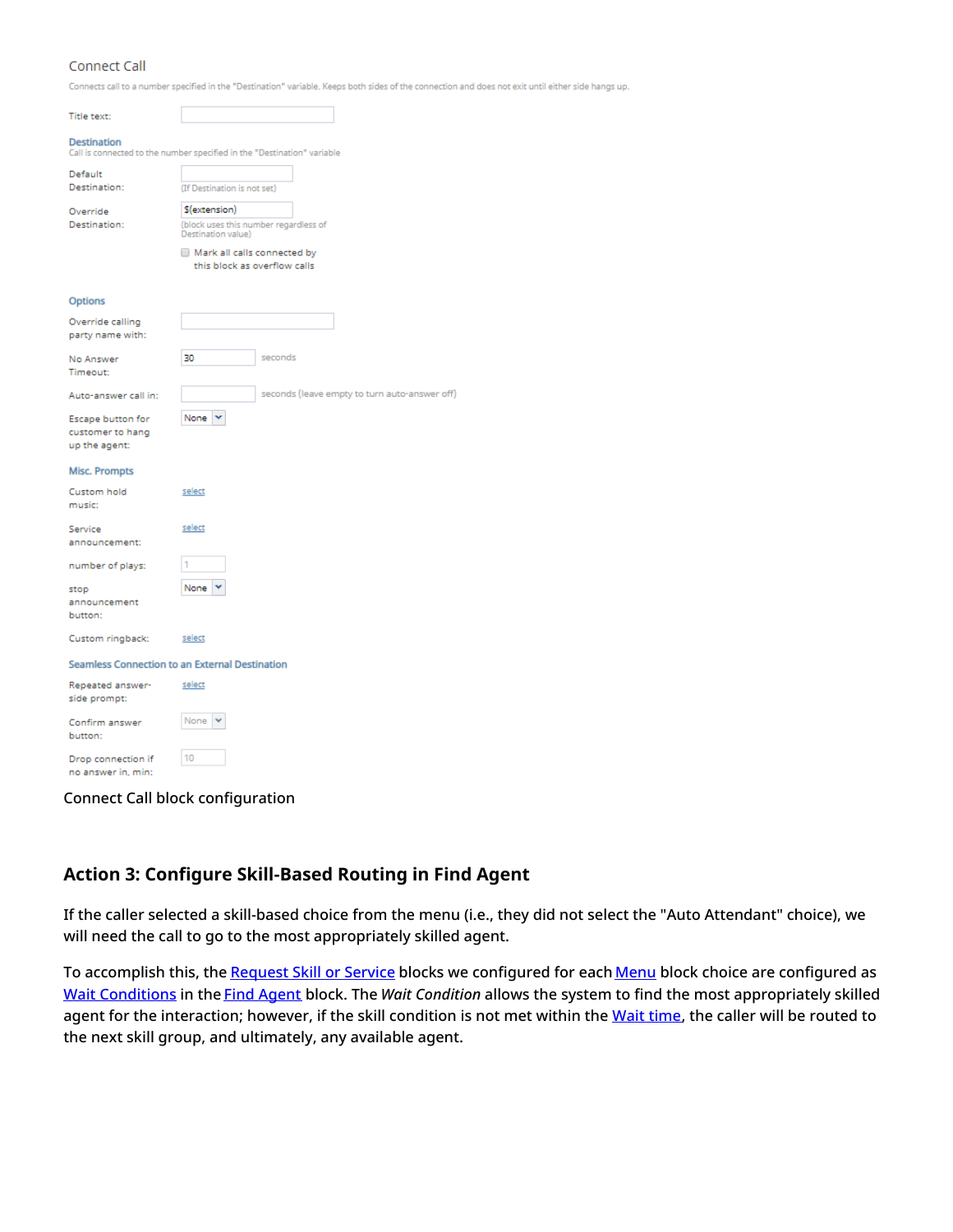#### Connect Call

Connects call to a number specified in the "Destination" variable. Keeps both sides of the connection and does not exit until either side hangs up.

| Title text:                                                                                   |                                                             |         |                                               |
|-----------------------------------------------------------------------------------------------|-------------------------------------------------------------|---------|-----------------------------------------------|
| <b>Destination</b><br>Call is connected to the number specified in the "Destination" variable |                                                             |         |                                               |
| Default                                                                                       |                                                             |         |                                               |
| Destination:                                                                                  | (If Destination is not set)                                 |         |                                               |
| Override                                                                                      | \$(extension)                                               |         |                                               |
| Destination:                                                                                  | (block uses this number regardless of<br>Destination value) |         |                                               |
|                                                                                               | Mark all calls connected by<br>this block as overflow calls |         |                                               |
| Options                                                                                       |                                                             |         |                                               |
| Override calling                                                                              |                                                             |         |                                               |
| party name with:                                                                              |                                                             |         |                                               |
| No Answer                                                                                     | 30                                                          | seconds |                                               |
| Timeout:                                                                                      |                                                             |         |                                               |
| Auto-answer call in:                                                                          |                                                             |         | seconds (leave empty to turn auto-answer off) |
| Escape button for                                                                             | None<br>v                                                   |         |                                               |
| customer to hang                                                                              |                                                             |         |                                               |
| up the agent:                                                                                 |                                                             |         |                                               |
| <b>Misc. Prompts</b>                                                                          |                                                             |         |                                               |
| Custom hold                                                                                   | select                                                      |         |                                               |
| music:                                                                                        |                                                             |         |                                               |
| Service                                                                                       | select                                                      |         |                                               |
| announcement:                                                                                 |                                                             |         |                                               |
| number of plays:                                                                              | 1                                                           |         |                                               |
| stop                                                                                          | None                                                        |         |                                               |
| announcement                                                                                  |                                                             |         |                                               |
| button:                                                                                       |                                                             |         |                                               |
| Custom ringback:                                                                              | select                                                      |         |                                               |
| Seamless Connection to an External Destination                                                |                                                             |         |                                               |
| Repeated answer-<br>side prompt:                                                              | select                                                      |         |                                               |
|                                                                                               | None                                                        |         |                                               |
| Confirm answer<br>button:                                                                     |                                                             |         |                                               |
|                                                                                               |                                                             |         |                                               |
| Drop connection if<br>no answer in, min:                                                      | 10                                                          |         |                                               |

Connect Call block configuration

### <span id="page-28-0"></span>**Action 3: Configure Skill-Based Routing in Find Agent**

If the caller selected a skill-based choice from the menu (i.e., they did not select the "Auto Attendant" choice), we will need the call to go to the most appropriately skilled agent.

To accomplish this, the [Request](https://help.brightpattern.com/5.3:Scenario-builder-reference-guide/Exercises/AllScenarioExercises/?action=html-localimages-export#topic_scenario-builder-reference-guide.2Fscenarioblocks.2Frequestskillorservice) Skill or Service blocks we configured for each [Menu](https://help.brightpattern.com/5.3:Scenario-builder-reference-guide/Exercises/AllScenarioExercises/?action=html-localimages-export#topic_scenario-builder-reference-guide.2Fscenarioblocks.2Fmenu) block choice are configured as Wait [Conditions](https://help.brightpattern.com/5.3:Scenario-builder-reference-guide/ScenarioBlocks/FindAgent#Settings) in the Find [Agent](https://help.brightpattern.com/5.3:Scenario-builder-reference-guide/Exercises/AllScenarioExercises/?action=html-localimages-export#topic_scenario-builder-reference-guide.2Fscenarioblocks.2Ffindagent) block. The *Wait Condition* allows the system to find the most appropriately skilled agent for the interaction; however, if the skill condition is not met within the [Wait](https://help.brightpattern.com/5.3:Scenario-builder-reference-guide/ScenarioBlocks/FindAgent#Settings) time, the caller will be routed to the next skill group, and ultimately, any available agent.